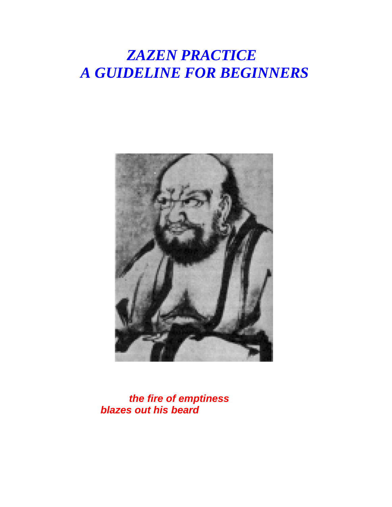# *ZAZEN PRACTICE A GUIDELINE FOR BEGINNERS*



*the fire of emptiness blazes out his beard*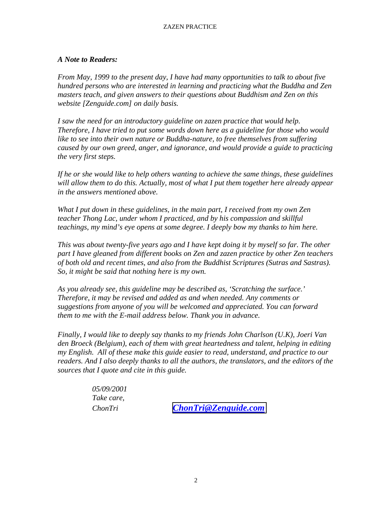### *A Note to Readers:*

*From May, 1999 to the present day, I have had many opportunities to talk to about five hundred persons who are interested in learning and practicing what the Buddha and Zen masters teach, and given answers to their questions about Buddhism and Zen on this website [Zenguide.com] on daily basis.*

*I saw the need for an introductory guideline on zazen practice that would help. Therefore, I have tried to put some words down here as a guideline for those who would like to see into their own nature or Buddha-nature, to free themselves from suffering caused by our own greed, anger, and ignorance, and would provide a guide to practicing the very first steps.*

*If he or she would like to help others wanting to achieve the same things, these guidelines will allow them to do this. Actually, most of what I put them together here already appear in the answers mentioned above.*

*What I put down in these guidelines, in the main part, I received from my own Zen teacher Thong Lac, under whom I practiced, and by his compassion and skillful teachings, my mind's eye opens at some degree. I deeply bow my thanks to him here.*

*This was about twenty-five years ago and I have kept doing it by myself so far. The other part I have gleaned from different books on Zen and zazen practice by other Zen teachers of both old and recent times, and also from the Buddhist Scriptures (Sutras and Sastras). So, it might be said that nothing here is my own.*

*As you already see, this guideline may be described as, 'Scratching the surface.' Therefore, it may be revised and added as and when needed. Any comments or suggestions from anyone of you will be welcomed and appreciated. You can forward them to me with the E-mail address below. Thank you in advance.*

*Finally, I would like to deeply say thanks to my friends John Charlson (U.K), Joeri Van den Broeck (Belgium), each of them with great heartedness and talent, helping in editing my English. All of these make this guide easier to read, understand, and practice to our readers. And I also deeply thanks to all the authors, the translators, and the editors of the sources that I quote and cite in this guide.*

> *05/09/2001 Take care,*

*ChonTri [ChonTri@Zenguide.com](mailto:ChonTri@Zenguide.com)*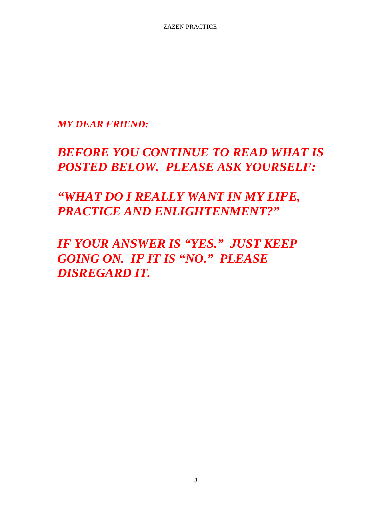*MY DEAR FRIEND:*

# *BEFORE YOU CONTINUE TO READ WHAT IS POSTED BELOW. PLEASE ASK YOURSELF:*

*"WHAT DO I REALLY WANT IN MY LIFE, PRACTICE AND ENLIGHTENMENT?"*

*IF YOUR ANSWER IS "YES." JUST KEEP GOING ON. IF IT IS "NO." PLEASE DISREGARD IT.*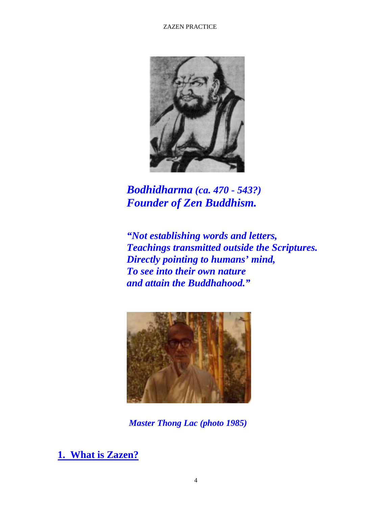

*Bodhidharma (ca. 470 - 543?) Founder of Zen Buddhism.*

*"Not establishing words and letters, Teachings transmitted outside the Scriptures. Directly pointing to humans' mind, To see into their own nature and attain the Buddhahood."*



 *Master Thong Lac (photo 1985)*

**1. What is Zazen?**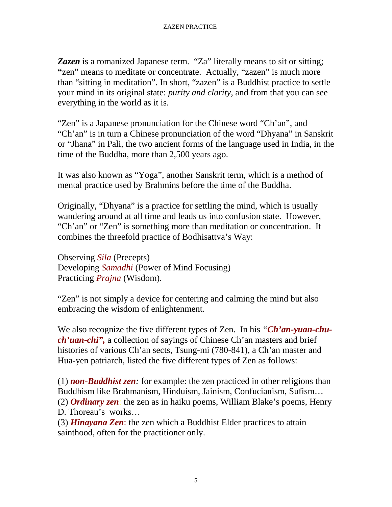**Zazen** is a romanized Japanese term. "Za" literally means to sit or sitting; **"**zen" means to meditate or concentrate. Actually, "zazen" is much more than "sitting in meditation". In short, "zazen" is a Buddhist practice to settle your mind in its original state: *purity and clarity*, and from that you can see everything in the world as it is.

"Zen" is a Japanese pronunciation for the Chinese word "Ch'an", and "Ch'an" is in turn a Chinese pronunciation of the word "Dhyana" in Sanskrit or "Jhana" in Pali, the two ancient forms of the language used in India, in the time of the Buddha, more than 2,500 years ago.

It was also known as "Yoga", another Sanskrit term, which is a method of mental practice used by Brahmins before the time of the Buddha.

Originally, "Dhyana" is a practice for settling the mind, which is usually wandering around at all time and leads us into confusion state. However, "Ch'an" or "Zen" is something more than meditation or concentration. It combines the threefold practice of Bodhisattva's Way:

Observing *Sila* (Precepts) Developing *Samadhi* (Power of Mind Focusing) Practicing *Prajna* (Wisdom).

"Zen" is not simply a device for centering and calming the mind but also embracing the wisdom of enlightenment.

We also recognize the five different types of Zen. In his *"Ch'an-yuan-chuch'uan-chi",* a collection of sayings of Chinese Ch'an masters and brief histories of various Ch'an sects, Tsung-mi (780-841), a Ch'an master and Hua-yen patriarch, listed the five different types of Zen as follows:

(1) *non-Buddhist zen:* for example: the zen practiced in other religions than Buddhism like Brahmanism, Hinduism, Jainism, Confucianism, Sufism… (2) *Ordinary zen*: the zen as in haiku poems, William Blake's poems, Henry D. Thoreau's works…

(3) *Hinayana Zen*: the zen which a Buddhist Elder practices to attain sainthood, often for the practitioner only.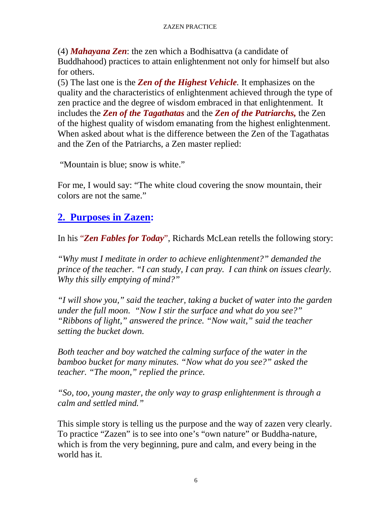(4) *Mahayana Zen*: the zen which a Bodhisattva (a candidate of Buddhahood) practices to attain enlightenment not only for himself but also for others.

(5) The last one is the *Zen of the Highest Vehicle.* It emphasizes on the quality and the characteristics of enlightenment achieved through the type of zen practice and the degree of wisdom embraced in that enlightenment. It includes the *Zen of the Tagathatas* and the *Zen of the Patriarchs,* the Zen of the highest quality of wisdom emanating from the highest enlightenment. When asked about what is the difference between the Zen of the Tagathatas and the Zen of the Patriarchs, a Zen master replied:

"Mountain is blue; snow is white."

For me, I would say: "The white cloud covering the snow mountain, their colors are not the same."

## **2. Purposes in Zazen:**

In his "*Zen Fables for Today*", Richards McLean retells the following story:

*"Why must I meditate in order to achieve enlightenment?" demanded the prince of the teacher. "I can study, I can pray. I can think on issues clearly. Why this silly emptying of mind?"*

*"I will show you," said the teacher, taking a bucket of water into the garden under the full moon. "Now I stir the surface and what do you see?" "Ribbons of light," answered the prince. "Now wait," said the teacher setting the bucket down.*

*Both teacher and boy watched the calming surface of the water in the bamboo bucket for many minutes. "Now what do you see?" asked the teacher. "The moon," replied the prince.*

*"So, too, young master, the only way to grasp enlightenment is through a calm and settled mind."*

This simple story is telling us the purpose and the way of zazen very clearly. To practice "Zazen" is to see into one's "own nature" or Buddha-nature, which is from the very beginning, pure and calm, and every being in the world has it.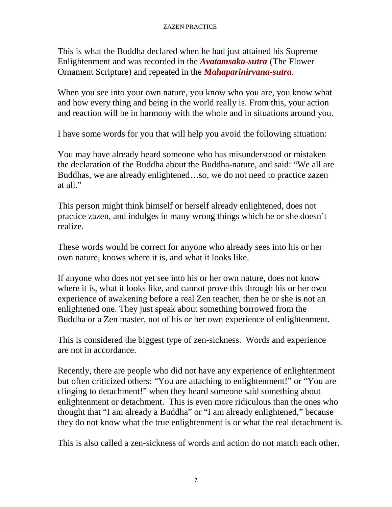This is what the Buddha declared when he had just attained his Supreme Enlightenment and was recorded in the *Avatamsaka-sutra* (The Flower Ornament Scripture) and repeated in the *Mahaparinirvana-sutra*.

When you see into your own nature, you know who you are, you know what and how every thing and being in the world really is. From this, your action and reaction will be in harmony with the whole and in situations around you.

I have some words for you that will help you avoid the following situation:

You may have already heard someone who has misunderstood or mistaken the declaration of the Buddha about the Buddha-nature, and said: "We all are Buddhas, we are already enlightened…so, we do not need to practice zazen at all."

This person might think himself or herself already enlightened, does not practice zazen, and indulges in many wrong things which he or she doesn't realize.

These words would be correct for anyone who already sees into his or her own nature, knows where it is, and what it looks like.

If anyone who does not yet see into his or her own nature, does not know where it is, what it looks like, and cannot prove this through his or her own experience of awakening before a real Zen teacher, then he or she is not an enlightened one. They just speak about something borrowed from the Buddha or a Zen master, not of his or her own experience of enlightenment.

This is considered the biggest type of zen-sickness. Words and experience are not in accordance.

Recently, there are people who did not have any experience of enlightenment but often criticized others: "You are attaching to enlightenment!" or "You are clinging to detachment!" when they heard someone said something about enlightenment or detachment. This is even more ridiculous than the ones who thought that "I am already a Buddha" or "I am already enlightened," because they do not know what the true enlightenment is or what the real detachment is.

This is also called a zen-sickness of words and action do not match each other.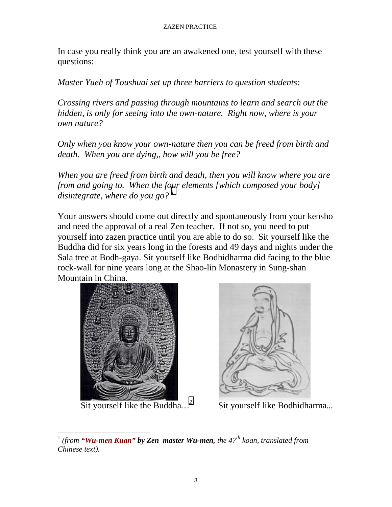In case you really think you are an awakened one, test yourself with these questions:

*Master Yueh of Toushuai set up three barriers to question students:*

*Crossing rivers and passing through mountains to learn and search out the hidden, is only for seeing into the own-nature. Right now, where is your own nature?*

*Only when you know your own-nature then you can be freed from birth and death. When you are dying,, how will you be free?*

*When you are freed from birth and death, then you will know where you are from and going to. When the four elements [which composed your body] disintegrate, where do you go? 1*

Your answers should come out directly and spontaneously from your kensho and need the approval of a real Zen teacher. If not so, you need to put yourself into zazen practice until you are able to do so. Sit yourself like the Buddha did for six years long in the forests and 49 days and nights under the Sala tree at Bodh-gaya. Sit yourself like Bodhidharma did facing to the blue rock-wall for nine years long at the Shao-lin Monastery in Sung-shan Mountain in China.



Sit yourself like the Buddha...<sup>2</sup> Sit yourself like Bodhidharma...



 $\overline{a}$ <sup>1</sup> *(from "Wu-men Kuan" by Zen master Wu-men, the 47th koan, translated from Chinese text).*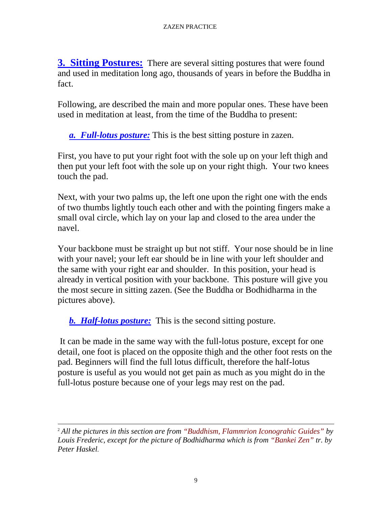**3. Sitting Postures:** There are several sitting postures that were found and used in meditation long ago, thousands of years in before the Buddha in fact.

Following, are described the main and more popular ones. These have been used in meditation at least, from the time of the Buddha to present:

*a. Full-lotus posture:* This is the best sitting posture in zazen.

First, you have to put your right foot with the sole up on your left thigh and then put your left foot with the sole up on your right thigh. Your two knees touch the pad.

Next, with your two palms up, the left one upon the right one with the ends of two thumbs lightly touch each other and with the pointing fingers make a small oval circle, which lay on your lap and closed to the area under the navel.

Your backbone must be straight up but not stiff. Your nose should be in line with your navel; your left ear should be in line with your left shoulder and the same with your right ear and shoulder. In this position, your head is already in vertical position with your backbone. This posture will give you the most secure in sitting zazen. (See the Buddha or Bodhidharma in the pictures above).

*b. Half-lotus posture:*This is the second sitting posture.

 It can be made in the same way with the full-lotus posture, except for one detail, one foot is placed on the opposite thigh and the other foot rests on the pad. Beginners will find the full lotus difficult, therefore the half-lotus posture is useful as you would not get pain as much as you might do in the full-lotus posture because one of your legs may rest on the pad.

 <sup>2</sup> *All the pictures in this section are from "Buddhism, Flammrion Iconograhic Guides" by Louis Frederic, except for the picture of Bodhidharma which is from "Bankei Zen" tr. by Peter Haskel.*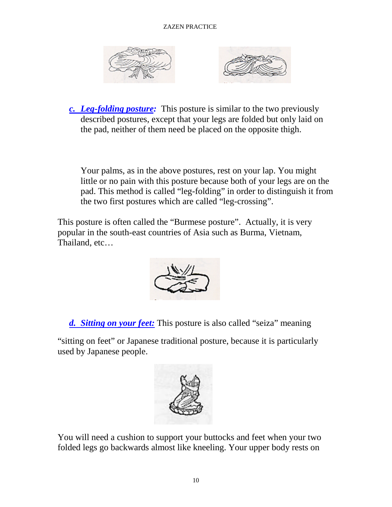

*c. Leg-folding posture:*This posture is similar to the two previously described postures, except that your legs are folded but only laid on the pad, neither of them need be placed on the opposite thigh.

Your palms, as in the above postures, rest on your lap. You might little or no pain with this posture because both of your legs are on the pad. This method is called "leg-folding" in order to distinguish it from the two first postures which are called "leg-crossing".

This posture is often called the "Burmese posture". Actually, it is very popular in the south-east countries of Asia such as Burma, Vietnam, Thailand, etc…



*d. Sitting on your feet:* This posture is also called "seiza" meaning

"sitting on feet" or Japanese traditional posture, because it is particularly used by Japanese people.



You will need a cushion to support your buttocks and feet when your two folded legs go backwards almost like kneeling. Your upper body rests on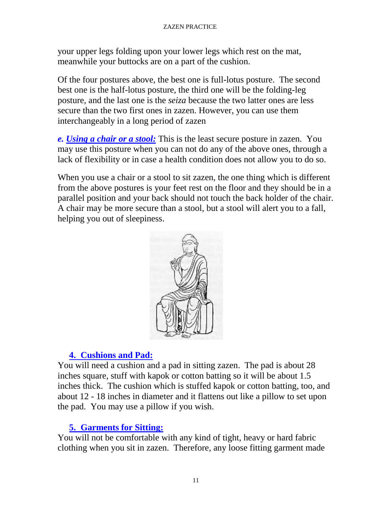your upper legs folding upon your lower legs which rest on the mat, meanwhile your buttocks are on a part of the cushion.

Of the four postures above, the best one is full-lotus posture. The second best one is the half-lotus posture, the third one will be the folding-leg posture, and the last one is the *seiza* because the two latter ones are less secure than the two first ones in zazen. However, you can use them interchangeably in a long period of zazen

*e. Using a chair or a stool:* This is the least secure posture in zazen. You may use this posture when you can not do any of the above ones, through a lack of flexibility or in case a health condition does not allow you to do so.

When you use a chair or a stool to sit zazen, the one thing which is different from the above postures is your feet rest on the floor and they should be in a parallel position and your back should not touch the back holder of the chair. A chair may be more secure than a stool, but a stool will alert you to a fall, helping you out of sleepiness.



## **4. Cushions and Pad:**

You will need a cushion and a pad in sitting zazen. The pad is about 28 inches square, stuff with kapok or cotton batting so it will be about 1.5 inches thick. The cushion which is stuffed kapok or cotton batting, too, and about 12 - 18 inches in diameter and it flattens out like a pillow to set upon the pad. You may use a pillow if you wish.

## **5. Garments for Sitting:**

You will not be comfortable with any kind of tight, heavy or hard fabric clothing when you sit in zazen. Therefore, any loose fitting garment made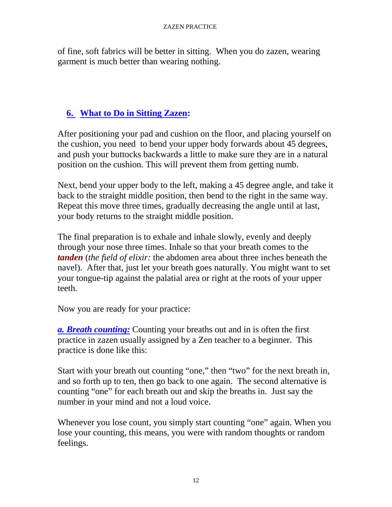of fine, soft fabrics will be better in sitting. When you do zazen, wearing garment is much better than wearing nothing.

## **6. What to Do in Sitting Zazen:**

After positioning your pad and cushion on the floor, and placing yourself on the cushion, you need to bend your upper body forwards about 45 degrees, and push your buttocks backwards a little to make sure they are in a natural position on the cushion. This will prevent them from getting numb.

Next, bend your upper body to the left, making a 45 degree angle, and take it back to the straight middle position, then bend to the right in the same way. Repeat this move three times, gradually decreasing the angle until at last, your body returns to the straight middle position.

The final preparation is to exhale and inhale slowly, evenly and deeply through your nose three times. Inhale so that your breath comes to the *tanden* (*the f*i*eld of elixir:* the abdomen area about three inches beneath the navel). After that, just let your breath goes naturally. You might want to set your tongue-tip against the palatial area or right at the roots of your upper teeth.

Now you are ready for your practice:

*a. Breath counting:* Counting your breaths out and in is often the first practice in zazen usually assigned by a Zen teacher to a beginner. This practice is done like this:

Start with your breath out counting "one," then "two" for the next breath in, and so forth up to ten, then go back to one again. The second alternative is counting "one" for each breath out and skip the breaths in. Just say the number in your mind and not a loud voice.

Whenever you lose count, you simply start counting "one" again. When you lose your counting, this means, you were with random thoughts or random feelings.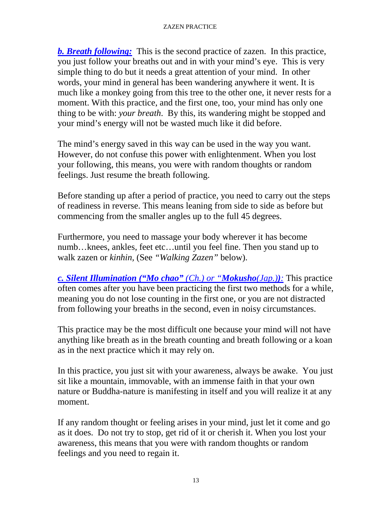*b. Breath following:* This is the second practice of zazen. In this practice, you just follow your breaths out and in with your mind's eye. This is very simple thing to do but it needs a great attention of your mind. In other words, your mind in general has been wandering anywhere it went. It is much like a monkey going from this tree to the other one, it never rests for a moment. With this practice, and the first one, too, your mind has only one thing to be with: *your breath*. By this, its wandering might be stopped and your mind's energy will not be wasted much like it did before.

The mind's energy saved in this way can be used in the way you want. However, do not confuse this power with enlightenment. When you lost your following, this means, you were with random thoughts or random feelings. Just resume the breath following.

Before standing up after a period of practice, you need to carry out the steps of readiness in reverse. This means leaning from side to side as before but commencing from the smaller angles up to the full 45 degrees.

Furthermore, you need to massage your body wherever it has become numb…knees, ankles, feet etc…until you feel fine. Then you stand up to walk zazen or *kinhin,* (See *"Walking Zazen"* below).

*c. Silent Illumination ("Mo chao" (Ch.) or "Mokusho(Jap.)):* This practice often comes after you have been practicing the first two methods for a while, meaning you do not lose counting in the first one, or you are not distracted from following your breaths in the second, even in noisy circumstances.

This practice may be the most difficult one because your mind will not have anything like breath as in the breath counting and breath following or a koan as in the next practice which it may rely on.

In this practice, you just sit with your awareness, always be awake. You just sit like a mountain, immovable, with an immense faith in that your own nature or Buddha-nature is manifesting in itself and you will realize it at any moment.

If any random thought or feeling arises in your mind, just let it come and go as it does. Do not try to stop, get rid of it or cherish it. When you lost your awareness, this means that you were with random thoughts or random feelings and you need to regain it.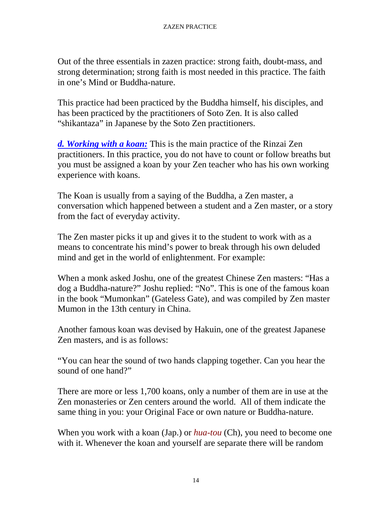Out of the three essentials in zazen practice: strong faith, doubt-mass, and strong determination; strong faith is most needed in this practice. The faith in one's Mind or Buddha-nature.

This practice had been practiced by the Buddha himself, his disciples, and has been practiced by the practitioners of Soto Zen. It is also called "shikantaza" in Japanese by the Soto Zen practitioners.

*d. Working with a koan:* This is the main practice of the Rinzai Zen practitioners. In this practice, you do not have to count or follow breaths but you must be assigned a koan by your Zen teacher who has his own working experience with koans.

The Koan is usually from a saying of the Buddha, a Zen master, a conversation which happened between a student and a Zen master, or a story from the fact of everyday activity.

The Zen master picks it up and gives it to the student to work with as a means to concentrate his mind's power to break through his own deluded mind and get in the world of enlightenment. For example:

When a monk asked Joshu, one of the greatest Chinese Zen masters: "Has a dog a Buddha-nature?" Joshu replied: "No". This is one of the famous koan in the book "Mumonkan" (Gateless Gate), and was compiled by Zen master Mumon in the 13th century in China.

Another famous koan was devised by Hakuin, one of the greatest Japanese Zen masters, and is as follows:

"You can hear the sound of two hands clapping together. Can you hear the sound of one hand?"

There are more or less 1,700 koans, only a number of them are in use at the Zen monasteries or Zen centers around the world. All of them indicate the same thing in you: your Original Face or own nature or Buddha-nature.

When you work with a koan (Jap.) or *hua-tou* (Ch), you need to become one with it. Whenever the koan and yourself are separate there will be random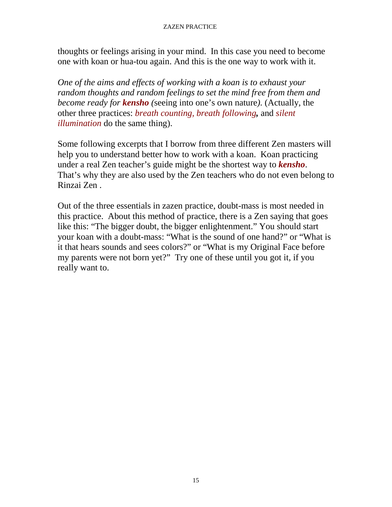thoughts or feelings arising in your mind. In this case you need to become one with koan or hua-tou again. And this is the one way to work with it.

*One of the aims and effects of working with a koan is to exhaust your random thoughts and random feelings to set the mind free from them and become ready for kensho (*seeing into one's own nature*).* (Actually, the other three practices: *breath counting, breath following,* and *silent illumination* do the same thing).

Some following excerpts that I borrow from three different Zen masters will help you to understand better how to work with a koan. Koan practicing under a real Zen teacher's guide might be the shortest way to *kensho*. That's why they are also used by the Zen teachers who do not even belong to Rinzai Zen .

Out of the three essentials in zazen practice, doubt-mass is most needed in this practice. About this method of practice, there is a Zen saying that goes like this: "The bigger doubt, the bigger enlightenment." You should start your koan with a doubt-mass: "What is the sound of one hand?" or "What is it that hears sounds and sees colors?" or "What is my Original Face before my parents were not born yet?" Try one of these until you got it, if you really want to.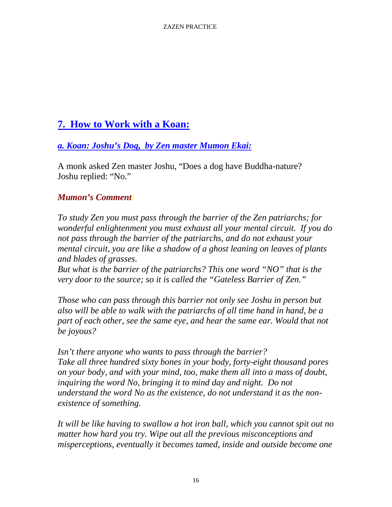## **7. How to Work with a Koan:**

*a. Koan: Joshu's Dog, by Zen master Mumon Ekai:*

A monk asked Zen master Joshu, "Does a dog have Buddha-nature? Joshu replied: "No."

## *Mumon's Comment:*

*To study Zen you must pass through the barrier of the Zen patriarchs; for wonderful enlightenment you must exhaust all your mental circuit. If you do not pass through the barrier of the patriarchs, and do not exhaust your mental circuit, you are like a shadow of a ghost leaning on leaves of plants and blades of grasses.*

*But what is the barrier of the patriarchs? This one word "NO" that is the very door to the source; so it is called the "Gateless Barrier of Zen."*

*Those who can pass through this barrier not only see Joshu in person but also will be able to walk with the patriarchs of all time hand in hand, be a part of each other, see the same eye, and hear the same ear. Would that not be joyous?*

*Isn't there anyone who wants to pass through the barrier? Take all three hundred sixty bones in your body, forty-eight thousand pores on your body, and with your mind, too, make them all into a mass of doubt, inquiring the word No, bringing it to mind day and night. Do not understand the word No as the existence, do not understand it as the nonexistence of something.*

*It will be like having to swallow a hot iron ball, which you cannot spit out no matter how hard you try. Wipe out all the previous misconceptions and misperceptions, eventually it becomes tamed, inside and outside become one*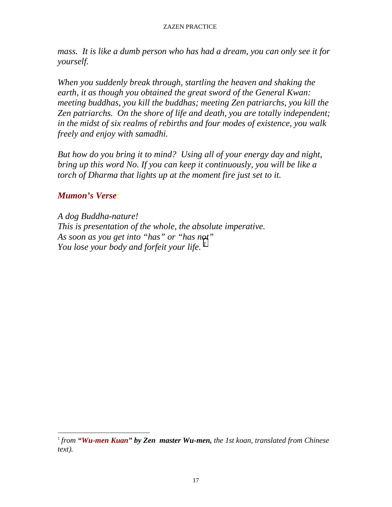*mass. It is like a dumb person who has had a dream, you can only see it for yourself.*

*When you suddenly break through, startling the heaven and shaking the earth, it as though you obtained the great sword of the General Kwan: meeting buddhas, you kill the buddhas; meeting Zen patriarchs, you kill the Zen patriarchs. On the shore of life and death, you are totally independent; in the midst of six realms of rebirths and four modes of existence, you walk freely and enjoy with samadhi.*

*But how do you bring it to mind? Using all of your energy day and night, bring up this word No. If you can keep it continuously, you will be like a torch of Dharma that lights up at the moment fire just set to it.*

## *Mumon's Verse:*

 $\overline{a}$ 

*A dog Buddha-nature! This is presentation of the whole, the absolute imperative. As soon as you get into "has" or "has not" You lose your body and forfeit your life. 1*

<sup>1</sup> *from "Wu-men Kuan" by Zen master Wu-men, the 1st koan, translated from Chinese text).*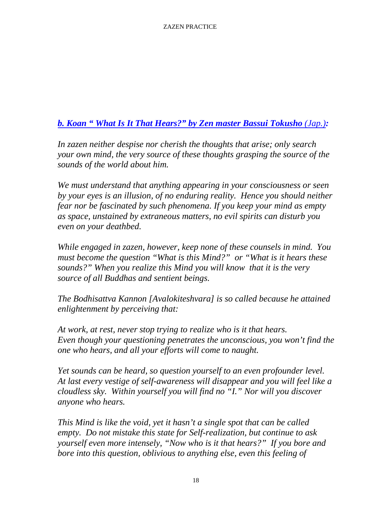## *b. Koan " What Is It That Hears?" by Zen master Bassui Tokusho (Jap.):*

*In zazen neither despise nor cherish the thoughts that arise; only search your own mind, the very source of these thoughts grasping the source of the sounds of the world about him.*

*We must understand that anything appearing in your consciousness or seen by your eyes is an illusion, of no enduring reality. Hence you should neither fear nor be fascinated by such phenomena. If you keep your mind as empty as space, unstained by extraneous matters, no evil spirits can disturb you even on your deathbed.*

*While engaged in zazen, however, keep none of these counsels in mind. You must become the question "What is this Mind?" or "What is it hears these sounds?" When you realize this Mind you will know that it is the very source of all Buddhas and sentient beings.*

*The Bodhisattva Kannon [Avalokiteshvara] is so called because he attained enlightenment by perceiving that:*

*At work, at rest, never stop trying to realize who is it that hears. Even though your questioning penetrates the unconscious, you won't find the one who hears, and all your efforts will come to naught.*

*Yet sounds can be heard, so question yourself to an even profounder level. At last every vestige of self-awareness will disappear and you will feel like a cloudless sky. Within yourself you will find no "I." Nor will you discover anyone who hears.*

*This Mind is like the void, yet it hasn't a single spot that can be called empty. Do not mistake this state for Self-realization, but continue to ask yourself even more intensely, "Now who is it that hears?" If you bore and bore into this question, oblivious to anything else, even this feeling of*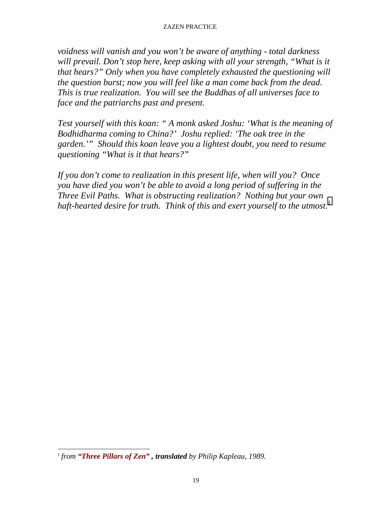*voidness will vanish and you won't be aware of anything - total darkness will prevail. Don't stop here, keep asking with all your strength, "What is it that hears?" Only when you have completely exhausted the questioning will the question burst; now you will feel like a man come back from the dead. This is true realization. You will see the Buddhas of all universes face to face and the patriarchs past and present.*

*Test yourself with this koan: " A monk asked Joshu: 'What is the meaning of Bodhidharma coming to China?' Joshu replied: 'The oak tree in the garden.'" Should this koan leave you a lightest doubt, you need to resume questioning "What is it that hears?"*

*If you don't come to realization in this present life, when will you? Once you have died you won't be able to avoid a long period of suffering in the Three Evil Paths. What is obstructing realization? Nothing but your own haft-hearted desire for truth. Think of this and exert yourself to the utmost.*<sup>1</sup>

 $\overline{a}$ 

<sup>1</sup> *from "Three Pillars of Zen" , translated by Philip Kapleau, 1989.*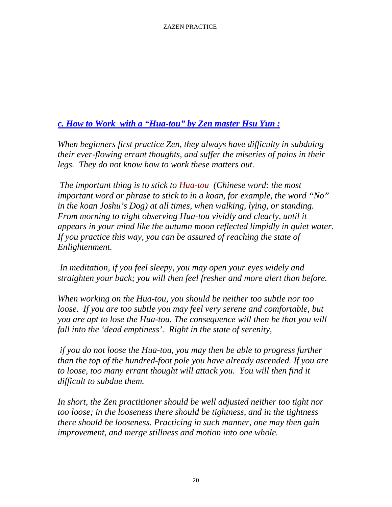## *c. How to Work with a "Hua-tou" by Zen master Hsu Yun :*

*When beginners first practice Zen, they always have difficulty in subduing their ever-flowing errant thoughts, and suffer the miseries of pains in their legs. They do not know how to work these matters out.*

 *The important thing is to stick to Hua-tou (Chinese word: the most important word or phrase to stick to in a koan, for example, the word "No" in the koan Joshu's Dog) at all times, when walking, lying, or standing. From morning to night observing Hua-tou vividly and clearly, until it appears in your mind like the autumn moon reflected limpidly in quiet water. If you practice this way, you can be assured of reaching the state of Enlightenment.*

 *In meditation, if you feel sleepy, you may open your eyes widely and straighten your back; you will then feel fresher and more alert than before.*

*When working on the Hua-tou, you should be neither too subtle nor too loose. If you are too subtle you may feel very serene and comfortable, but you are apt to lose the Hua-tou. The consequence will then be that you will fall into the 'dead emptiness'. Right in the state of serenity,*

 *if you do not loose the Hua-tou, you may then be able to progress further than the top of the hundred-foot pole you have already ascended. If you are to loose, too many errant thought will attack you. You will then find it difficult to subdue them.*

*In short, the Zen practitioner should be well adjusted neither too tight nor too loose; in the looseness there should be tightness, and in the tightness there should be looseness. Practicing in such manner, one may then gain improvement, and merge stillness and motion into one whole.*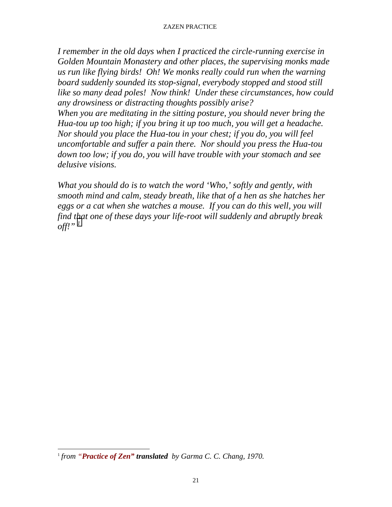*I remember in the old days when I practiced the circle-running exercise in Golden Mountain Monastery and other places, the supervising monks made us run like flying birds! Oh! We monks really could run when the warning board suddenly sounded its stop-signal, everybody stopped and stood still like so many dead poles! Now think! Under these circumstances, how could any drowsiness or distracting thoughts possibly arise?*

*When you are meditating in the sitting posture, you should never bring the Hua-tou up too high; if you bring it up too much, you will get a headache. Nor should you place the Hua-tou in your chest; if you do, you will feel uncomfortable and suffer a pain there. Nor should you press the Hua-tou down too low; if you do, you will have trouble with your stomach and see delusive visions.*

*What you should do is to watch the word 'Who,' softly and gently, with smooth mind and calm, steady breath, like that of a hen as she hatches her eggs or a cat when she watches a mouse. If you can do this well, you will find that one of these days your life-root will suddenly and abruptly break off!" 1*

 $\overline{a}$ 

<sup>1</sup> *from "Practice of Zen" translated by Garma C. C. Chang, 1970.*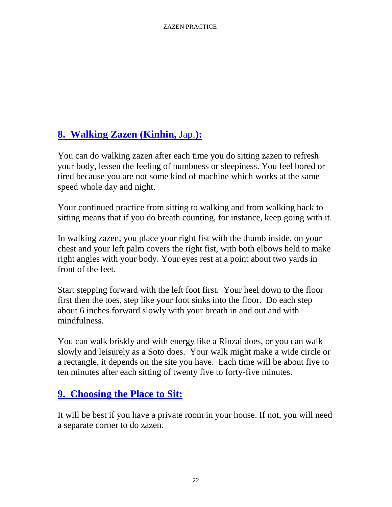## **8. Walking Zazen (Kinhin,** Jap.**):**

You can do walking zazen after each time you do sitting zazen to refresh your body, lessen the feeling of numbness or sleepiness. You feel bored or tired because you are not some kind of machine which works at the same speed whole day and night.

Your continued practice from sitting to walking and from walking back to sitting means that if you do breath counting, for instance, keep going with it.

In walking zazen, you place your right fist with the thumb inside, on your chest and your left palm covers the right fist, with both elbows held to make right angles with your body. Your eyes rest at a point about two yards in front of the feet.

Start stepping forward with the left foot first. Your heel down to the floor first then the toes, step like your foot sinks into the floor. Do each step about 6 inches forward slowly with your breath in and out and with mindfulness.

You can walk briskly and with energy like a Rinzai does, or you can walk slowly and leisurely as a Soto does. Your walk might make a wide circle or a rectangle, it depends on the site you have. Each time will be about five to ten minutes after each sitting of twenty five to forty-five minutes.

## **9. Choosing the Place to Sit:**

It will be best if you have a private room in your house. If not, you will need a separate corner to do zazen.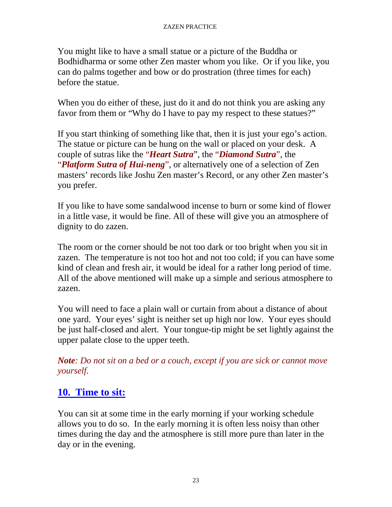You might like to have a small statue or a picture of the Buddha or Bodhidharma or some other Zen master whom you like. Or if you like, you can do palms together and bow or do prostration (three times for each) before the statue.

When you do either of these, just do it and do not think you are asking any favor from them or "Why do I have to pay my respect to these statues?"

If you start thinking of something like that, then it is just your ego's action. The statue or picture can be hung on the wall or placed on your desk. A couple of sutras like the "*Heart Sutra*", the "*Diamond Sutra*", the "*Platform Sutra of Hui-neng*", or alternatively one of a selection of Zen masters' records like Joshu Zen master's Record, or any other Zen master's you prefer.

If you like to have some sandalwood incense to burn or some kind of flower in a little vase, it would be fine. All of these will give you an atmosphere of dignity to do zazen.

The room or the corner should be not too dark or too bright when you sit in zazen. The temperature is not too hot and not too cold; if you can have some kind of clean and fresh air, it would be ideal for a rather long period of time. All of the above mentioned will make up a simple and serious atmosphere to zazen.

You will need to face a plain wall or curtain from about a distance of about one yard. Your eyes' sight is neither set up high nor low. Your eyes should be just half-closed and alert. Your tongue-tip might be set lightly against the upper palate close to the upper teeth.

*Note: Do not sit on a bed or a couch, except if you are sick or cannot move yourself.*

## **10. Time to sit:**

You can sit at some time in the early morning if your working schedule allows you to do so. In the early morning it is often less noisy than other times during the day and the atmosphere is still more pure than later in the day or in the evening.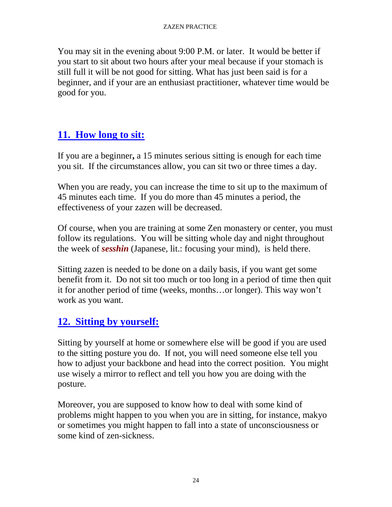You may sit in the evening about 9:00 P.M. or later. It would be better if you start to sit about two hours after your meal because if your stomach is still full it will be not good for sitting. What has just been said is for a beginner, and if your are an enthusiast practitioner, whatever time would be good for you.

## **11. How long to sit:**

If you are a beginner**,** a 15 minutes serious sitting is enough for each time you sit. If the circumstances allow, you can sit two or three times a day.

When you are ready, you can increase the time to sit up to the maximum of 45 minutes each time. If you do more than 45 minutes a period, the effectiveness of your zazen will be decreased.

Of course, when you are training at some Zen monastery or center, you must follow its regulations. You will be sitting whole day and night throughout the week of *sesshin* (Japanese, lit.: focusing your mind), is held there.

Sitting zazen is needed to be done on a daily basis, if you want get some benefit from it. Do not sit too much or too long in a period of time then quit it for another period of time (weeks, months…or longer). This way won't work as you want.

## **12. Sitting by yourself:**

Sitting by yourself at home or somewhere else will be good if you are used to the sitting posture you do. If not, you will need someone else tell you how to adjust your backbone and head into the correct position. You might use wisely a mirror to reflect and tell you how you are doing with the posture.

Moreover, you are supposed to know how to deal with some kind of problems might happen to you when you are in sitting, for instance, makyo or sometimes you might happen to fall into a state of unconsciousness or some kind of zen-sickness.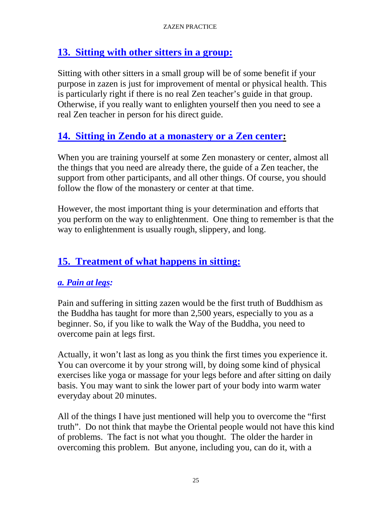## **13. Sitting with other sitters in a group:**

Sitting with other sitters in a small group will be of some benefit if your purpose in zazen is just for improvement of mental or physical health. This is particularly right if there is no real Zen teacher's guide in that group. Otherwise, if you really want to enlighten yourself then you need to see a real Zen teacher in person for his direct guide.

## **14. Sitting in Zendo at a monastery or a Zen center:**

When you are training yourself at some Zen monastery or center, almost all the things that you need are already there, the guide of a Zen teacher, the support from other participants, and all other things. Of course, you should follow the flow of the monastery or center at that time.

However, the most important thing is your determination and efforts that you perform on the way to enlightenment. One thing to remember is that the way to enlightenment is usually rough, slippery, and long.

## **15. Treatment of what happens in sitting:**

## *a. Pain at legs:*

Pain and suffering in sitting zazen would be the first truth of Buddhism as the Buddha has taught for more than 2,500 years, especially to you as a beginner. So, if you like to walk the Way of the Buddha, you need to overcome pain at legs first.

Actually, it won't last as long as you think the first times you experience it. You can overcome it by your strong will, by doing some kind of physical exercises like yoga or massage for your legs before and after sitting on daily basis. You may want to sink the lower part of your body into warm water everyday about 20 minutes.

All of the things I have just mentioned will help you to overcome the "first truth". Do not think that maybe the Oriental people would not have this kind of problems. The fact is not what you thought. The older the harder in overcoming this problem. But anyone, including you, can do it, with a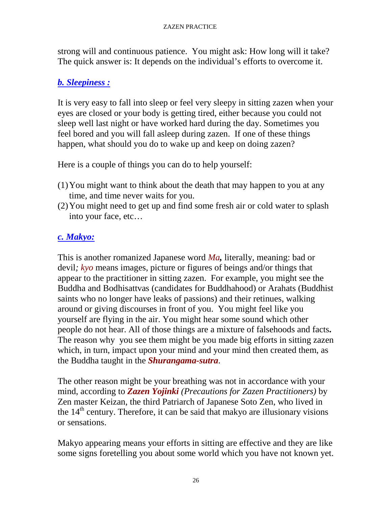strong will and continuous patience. You might ask: How long will it take? The quick answer is: It depends on the individual's efforts to overcome it.

## *b. Sleepiness :*

It is very easy to fall into sleep or feel very sleepy in sitting zazen when your eyes are closed or your body is getting tired, either because you could not sleep well last night or have worked hard during the day. Sometimes you feel bored and you will fall asleep during zazen. If one of these things happen, what should you do to wake up and keep on doing zazen?

Here is a couple of things you can do to help yourself:

- (1)You might want to think about the death that may happen to you at any time, and time never waits for you.
- (2)You might need to get up and find some fresh air or cold water to splash into your face, etc…

## *c. Makyo:*

This is another romanized Japanese word *Ma,* literally, meaning: bad or devil*; kyo* means images, picture or figures of beings and/or things that appear to the practitioner in sitting zazen. For example, you might see the Buddha and Bodhisattvas (candidates for Buddhahood) or Arahats (Buddhist saints who no longer have leaks of passions) and their retinues, walking around or giving discourses in front of you. You might feel like you yourself are flying in the air. You might hear some sound which other people do not hear. All of those things are a mixture of falsehoods and facts**.** The reason why you see them might be you made big efforts in sitting zazen which, in turn, impact upon your mind and your mind then created them, as the Buddha taught in the *Shurangama-sutra*.

The other reason might be your breathing was not in accordance with your mind, according to *Zazen Yojinki (Precautions for Zazen Practitioners)* by Zen master Keizan, the third Patriarch of Japanese Soto Zen, who lived in the  $14<sup>th</sup>$  century. Therefore, it can be said that makyo are illusionary visions or sensations.

Makyo appearing means your efforts in sitting are effective and they are like some signs foretelling you about some world which you have not known yet.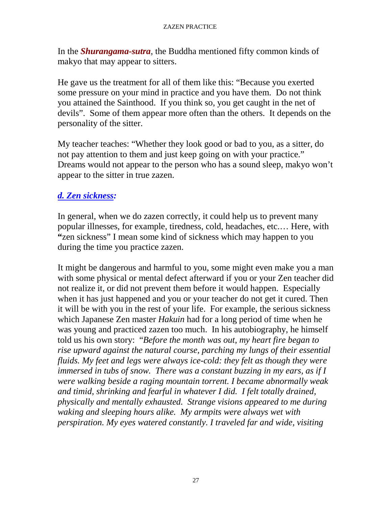In the *Shurangama-sutra*, the Buddha mentioned fifty common kinds of makyo that may appear to sitters.

He gave us the treatment for all of them like this: "Because you exerted some pressure on your mind in practice and you have them. Do not think you attained the Sainthood. If you think so, you get caught in the net of devils". Some of them appear more often than the others. It depends on the personality of the sitter.

My teacher teaches: "Whether they look good or bad to you, as a sitter, do not pay attention to them and just keep going on with your practice." Dreams would not appear to the person who has a sound sleep, makyo won't appear to the sitter in true zazen.

## *d. Zen sickness:*

In general, when we do zazen correctly, it could help us to prevent many popular illnesses, for example, tiredness, cold, headaches, etc.… Here, with **"**zen sickness" I mean some kind of sickness which may happen to you during the time you practice zazen.

It might be dangerous and harmful to you, some might even make you a man with some physical or mental defect afterward if you or your Zen teacher did not realize it, or did not prevent them before it would happen. Especially when it has just happened and you or your teacher do not get it cured. Then it will be with you in the rest of your life. For example, the serious sickness which Japanese Zen master *Hakuin* had for a long period of time when he was young and practiced zazen too much. In his autobiography, he himself told us his own story: "*Before the month was out, my heart fire began to rise upward against the natural course, parching my lungs of their essential fluids. My feet and legs were always ice-cold: they felt as though they were immersed in tubs of snow. There was a constant buzzing in my ears, as if I were walking beside a raging mountain torrent. I became abnormally weak and timid, shrinking and fearful in whatever I did. I felt totally drained, physically and mentally exhausted. Strange visions appeared to me during waking and sleeping hours alike. My armpits were always wet with perspiration. My eyes watered constantly. I traveled far and wide, visiting*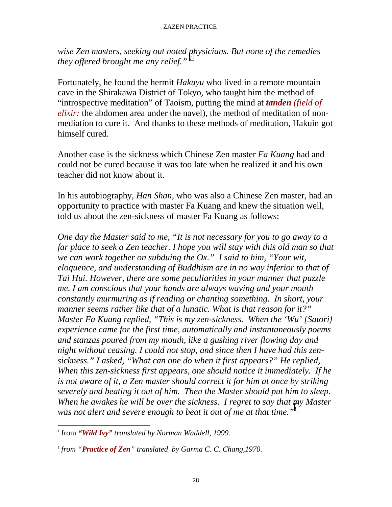*wise Zen masters, seeking out noted physicians. But none of the remedies they offered brought me any relief." 1*

Fortunately, he found the hermit *Hakuyu* who lived in a remote mountain cave in the Shirakawa District of Tokyo, who taught him the method of "introspective meditation" of Taoism, putting the mind at *tanden (field of elixir:* the abdomen area under the navel), the method of meditation of nonmediation to cure it. And thanks to these methods of meditation, Hakuin got himself cured.

Another case is the sickness which Chinese Zen master *Fa Kuang* had and could not be cured because it was too late when he realized it and his own teacher did not know about it.

In his autobiography, *Han Shan,* who was also a Chinese Zen master, had an opportunity to practice with master Fa Kuang and knew the situation well, told us about the zen-sickness of master Fa Kuang as follows:

*One day the Master said to me, "It is not necessary for you to go away to a far place to seek a Zen teacher. I hope you will stay with this old man so that we can work together on subduing the Ox." I said to him, "Your wit, eloquence, and understanding of Buddhism are in no way inferior to that of Tai Hui. However, there are some peculiarities in your manner that puzzle me. I am conscious that your hands are always waving and your mouth constantly murmuring as if reading or chanting something. In short, your manner seems rather like that of a lunatic. What is that reason for it?" Master Fa Kuang replied, "This is my zen-sickness. When the 'Wu' [Satori] experience came for the first time, automatically and instantaneously poems and stanzas poured from my mouth, like a gushing river flowing day and night without ceasing. I could not stop, and since then I have had this zensickness." I asked, "What can one do when it first appears?" He replied, When this zen-sickness first appears, one should notice it immediately. If he is not aware of it, a Zen master should correct it for him at once by striking severely and beating it out of him. Then the Master should put him to sleep. When he awakes he will be over the sickness. I regret to say that my Master was not alert and severe enough to beat it out of me at that time."1*

 $\overline{a}$ 

<sup>1</sup> from *"Wild Ivy" translated by Norman Waddell, 1999.*

<sup>1</sup> *from "Practice of Zen" translated by Garma C. C. Chang,1970.*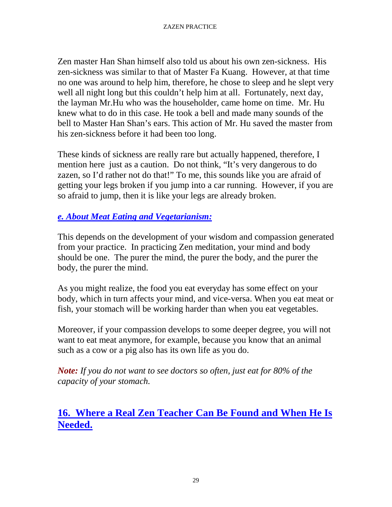Zen master Han Shan himself also told us about his own zen-sickness. His zen-sickness was similar to that of Master Fa Kuang. However, at that time no one was around to help him, therefore, he chose to sleep and he slept very well all night long but this couldn't help him at all. Fortunately, next day, the layman Mr.Hu who was the householder, came home on time. Mr. Hu knew what to do in this case. He took a bell and made many sounds of the bell to Master Han Shan's ears. This action of Mr. Hu saved the master from his zen-sickness before it had been too long.

These kinds of sickness are really rare but actually happened, therefore, I mention here just as a caution. Do not think, "It's very dangerous to do zazen, so I'd rather not do that!" To me, this sounds like you are afraid of getting your legs broken if you jump into a car running. However, if you are so afraid to jump, then it is like your legs are already broken.

## *e. About Meat Eating and Vegetarianism:*

This depends on the development of your wisdom and compassion generated from your practice. In practicing Zen meditation, your mind and body should be one. The purer the mind, the purer the body, and the purer the body, the purer the mind.

As you might realize, the food you eat everyday has some effect on your body, which in turn affects your mind, and vice-versa. When you eat meat or fish, your stomach will be working harder than when you eat vegetables.

Moreover, if your compassion develops to some deeper degree, you will not want to eat meat anymore, for example, because you know that an animal such as a cow or a pig also has its own life as you do.

*Note: If you do not want to see doctors so often, just eat for 80% of the capacity of your stomach.*

## **16. Where a Real Zen Teacher Can Be Found and When He Is Needed.**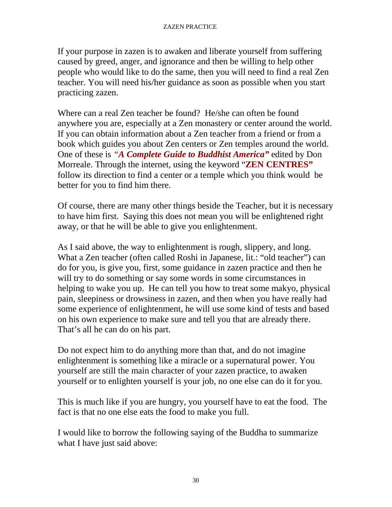If your purpose in zazen is to awaken and liberate yourself from suffering caused by greed, anger, and ignorance and then be willing to help other people who would like to do the same, then you will need to find a real Zen teacher. You will need his/her guidance as soon as possible when you start practicing zazen.

Where can a real Zen teacher be found? He/she can often be found anywhere you are, especially at a Zen monastery or center around the world. If you can obtain information about a Zen teacher from a friend or from a book which guides you about Zen centers or Zen temples around the world. One of these is *"A Complete Guide to Buddhist America"* edited by Don Morreale. Through the internet, using the keyword "**ZEN CENTRES"** follow its direction to find a center or a temple which you think would be better for you to find him there.

Of course, there are many other things beside the Teacher, but it is necessary to have him first. Saying this does not mean you will be enlightened right away, or that he will be able to give you enlightenment.

As I said above, the way to enlightenment is rough, slippery, and long. What a Zen teacher (often called Roshi in Japanese, lit.: "old teacher") can do for you, is give you, first, some guidance in zazen practice and then he will try to do something or say some words in some circumstances in helping to wake you up. He can tell you how to treat some makyo, physical pain, sleepiness or drowsiness in zazen, and then when you have really had some experience of enlightenment, he will use some kind of tests and based on his own experience to make sure and tell you that are already there. That's all he can do on his part.

Do not expect him to do anything more than that, and do not imagine enlightenment is something like a miracle or a supernatural power. You yourself are still the main character of your zazen practice, to awaken yourself or to enlighten yourself is your job, no one else can do it for you.

This is much like if you are hungry, you yourself have to eat the food. The fact is that no one else eats the food to make you full.

I would like to borrow the following saying of the Buddha to summarize what I have just said above: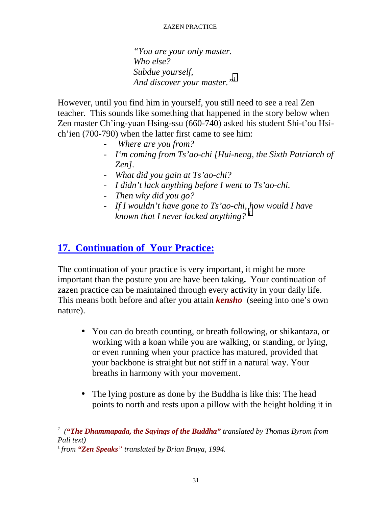*"You are your only master. Who else? Subdue yourself, And discover your master."1*

However, until you find him in yourself, you still need to see a real Zen teacher. This sounds like something that happened in the story below when Zen master Ch'ing-yuan Hsing-ssu (660-740) asked his student Shi-t'ou Hsich'ien (700-790) when the latter first came to see him:

- *Where are you from?*
- *I'm coming from Ts'ao-chi [Hui-neng, the Sixth Patriarch of Zen].*
- *What did you gain at Ts'ao-chi?*
- *I didn't lack anything before I went to Ts'ao-chi.*
- *Then why did you go?*
- *If I wouldn't have gone to Ts'ao-chi, how would I have known that I never lacked anything? 1*

## **17. Continuation of Your Practice:**

The continuation of your practice is very important, it might be more important than the posture you are have been taking**.** Your continuation of zazen practice can be maintained through every activity in your daily life. This means both before and after you attain *kensho* (seeing into one's own nature).

- You can do breath counting, or breath following, or shikantaza, or working with a koan while you are walking, or standing, or lying, or even running when your practice has matured, provided that your backbone is straight but not stiff in a natural way. Your breaths in harmony with your movement.
- The lying posture as done by the Buddha is like this: The head points to north and rests upon a pillow with the height holding it in

<sup>1</sup> *from "Zen Speaks" translated by Brian Bruya, 1994.*

 *1 ("The Dhammapada, the Sayings of the Buddha" translated by Thomas Byrom from Pali text)*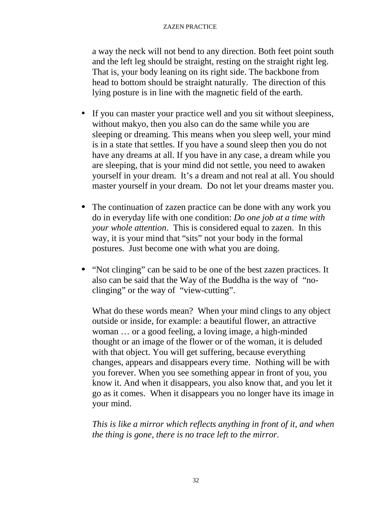a way the neck will not bend to any direction. Both feet point south and the left leg should be straight, resting on the straight right leg. That is, your body leaning on its right side. The backbone from head to bottom should be straight naturally. The direction of this lying posture is in line with the magnetic field of the earth.

- If you can master your practice well and you sit without sleepiness, without makyo, then you also can do the same while you are sleeping or dreaming. This means when you sleep well, your mind is in a state that settles. If you have a sound sleep then you do not have any dreams at all. If you have in any case, a dream while you are sleeping, that is your mind did not settle, you need to awaken yourself in your dream. It's a dream and not real at all. You should master yourself in your dream. Do not let your dreams master you.
- The continuation of zazen practice can be done with any work you do in everyday life with one condition: *Do one job at a time with your whole attention*. This is considered equal to zazen. In this way, it is your mind that "sits" not your body in the formal postures. Just become one with what you are doing.
- "Not clinging" can be said to be one of the best zazen practices. It also can be said that the Way of the Buddha is the way of "noclinging" or the way of "view-cutting".

What do these words mean? When your mind clings to any object outside or inside, for example: a beautiful flower, an attractive woman … or a good feeling, a loving image, a high-minded thought or an image of the flower or of the woman, it is deluded with that object. You will get suffering, because everything changes, appears and disappears every time. Nothing will be with you forever. When you see something appear in front of you, you know it. And when it disappears, you also know that, and you let it go as it comes. When it disappears you no longer have its image in your mind.

*This is like a mirror which reflects anything in front of it, and when the thing is gone, there is no trace left to the mirror.*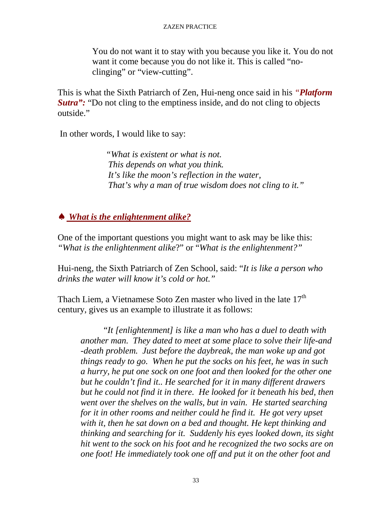You do not want it to stay with you because you like it. You do not want it come because you do not like it. This is called "noclinging" or "view-cutting".

This is what the Sixth Patriarch of Zen, Hui-neng once said in his *"Platform Sutra*": "Do not cling to the emptiness inside, and do not cling to objects outside."

In other words, I would like to say:

 *"What is existent or what is not. This depends on what you think. It's like the moon's reflection in the water, That's why a man of true wisdom does not cling to it."*

## ♠ *What is the enlightenment alike?*

One of the important questions you might want to ask may be like this: *"What is the enlightenment alike*?" or "*What is the enlightenment?"*

Hui-neng, the Sixth Patriarch of Zen School, said: "*It is like a person who drinks the water will know it's cold or hot."*

Thach Liem, a Vietnamese Soto Zen master who lived in the late  $17<sup>th</sup>$ century, gives us an example to illustrate it as follows:

"*It [enlightenment] is like a man who has a duel to death with another man. They dated to meet at some place to solve their life-and -death problem. Just before the daybreak, the man woke up and got things ready to go. When he put the socks on his feet, he was in such a hurry, he put one sock on one foot and then looked for the other one but he couldn't find it.. He searched for it in many different drawers but he could not find it in there. He looked for it beneath his bed, then went over the shelves on the walls, but in vain. He started searching for it in other rooms and neither could he find it. He got very upset with it, then he sat down on a bed and thought. He kept thinking and thinking and searching for it. Suddenly his eyes looked down, its sight hit went to the sock on his foot and he recognized the two socks are on one foot! He immediately took one off and put it on the other foot and*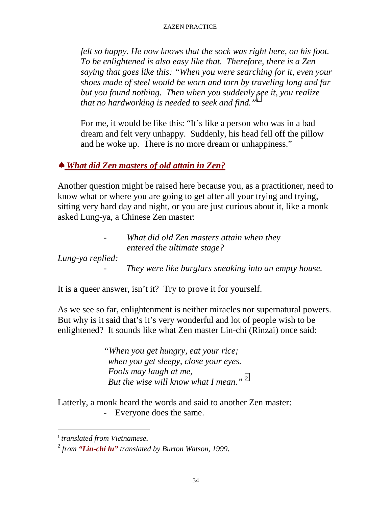*felt so happy. He now knows that the sock was right here, on his foot. To be enlightened is also easy like that. Therefore, there is a Zen saying that goes like this: "When you were searching for it, even your shoes made of steel would be worn and torn by traveling long and far but you found nothing. Then when you suddenly see it, you realize that no hardworking is needed to seek and find."<sup>1</sup>*

For me, it would be like this: "It's like a person who was in a bad dream and felt very unhappy. Suddenly, his head fell off the pillow and he woke up. There is no more dream or unhappiness."

## ♠ *What did Zen masters of old attain in Zen?*

Another question might be raised here because you, as a practitioner, need to know what or where you are going to get after all your trying and trying, sitting very hard day and night, or you are just curious about it, like a monk asked Lung-ya, a Chinese Zen master:

| $\overline{\phantom{0}}$ | What did old Zen masters attain when they |
|--------------------------|-------------------------------------------|
|                          | entered the ultimate stage?               |

*Lung-ya replied:*

- *They were like burglars sneaking into an empty house.*

It is a queer answer, isn't it? Try to prove it for yourself.

As we see so far, enlightenment is neither miracles nor supernatural powers. But why is it said that's it's very wonderful and lot of people wish to be enlightened? It sounds like what Zen master Lin-chi (Rinzai) once said:

> *"When you get hungry, eat your rice; when you get sleepy, close your eyes. Fools may laugh at me, But the wise will know what I mean." 2*

Latterly, a monk heard the words and said to another Zen master:

- Everyone does the same.

l

<sup>1</sup> *translated from Vietnamese.*

<sup>2</sup> *from "Lin-chi lu" translated by Burton Watson, 1999.*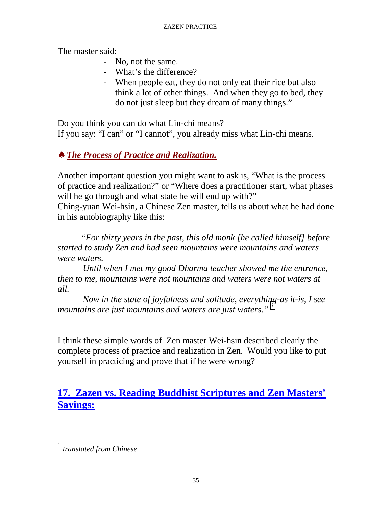The master said:

- No, not the same.
- What's the difference?
- When people eat, they do not only eat their rice but also think a lot of other things. And when they go to bed, they do not just sleep but they dream of many things."

Do you think you can do what Lin-chi means?

If you say: "I can" or "I cannot", you already miss what Lin-chi means.

## ♠ *The Process of Practice and Realization.*

Another important question you might want to ask is, "What is the process of practice and realization?" or "Where does a practitioner start, what phases will he go through and what state he will end up with?" Ching-yuan Wei-hsin, a Chinese Zen master, tells us about what he had done in his autobiography like this:

*"For thirty years in the past, this old monk [he called himself] before started to study Zen and had seen mountains were mountains and waters were waters.*

 *Until when I met my good Dharma teacher showed me the entrance, then to me, mountains were not mountains and waters were not waters at all.*

 *Now in the state of joyfulness and solitude, everything-as it-is, I see mountains are just mountains and waters are just waters." 1*

I think these simple words of Zen master Wei-hsin described clearly the complete process of practice and realization in Zen. Would you like to put yourself in practicing and prove that if he were wrong?

## **17. Zazen vs. Reading Buddhist Scriptures and Zen Masters' Sayings:**

l

<sup>1</sup> *translated from Chinese.*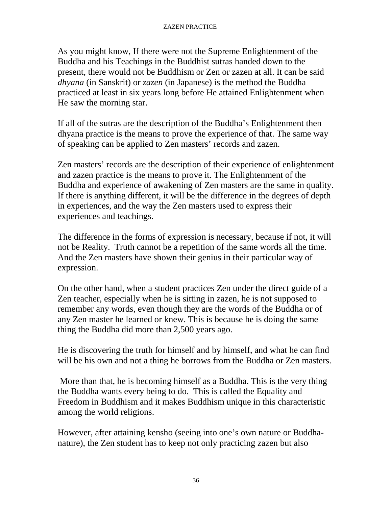As you might know, If there were not the Supreme Enlightenment of the Buddha and his Teachings in the Buddhist sutras handed down to the present, there would not be Buddhism or Zen or zazen at all. It can be said *dhyana* (in Sanskrit) or *zazen* (in Japanese) is the method the Buddha practiced at least in six years long before He attained Enlightenment when He saw the morning star.

If all of the sutras are the description of the Buddha's Enlightenment then dhyana practice is the means to prove the experience of that. The same way of speaking can be applied to Zen masters' records and zazen.

Zen masters' records are the description of their experience of enlightenment and zazen practice is the means to prove it. The Enlightenment of the Buddha and experience of awakening of Zen masters are the same in quality. If there is anything different, it will be the difference in the degrees of depth in experiences, and the way the Zen masters used to express their experiences and teachings.

The difference in the forms of expression is necessary, because if not, it will not be Reality. Truth cannot be a repetition of the same words all the time. And the Zen masters have shown their genius in their particular way of expression.

On the other hand, when a student practices Zen under the direct guide of a Zen teacher, especially when he is sitting in zazen, he is not supposed to remember any words, even though they are the words of the Buddha or of any Zen master he learned or knew. This is because he is doing the same thing the Buddha did more than 2,500 years ago.

He is discovering the truth for himself and by himself, and what he can find will be his own and not a thing he borrows from the Buddha or Zen masters.

 More than that, he is becoming himself as a Buddha. This is the very thing the Buddha wants every being to do. This is called the Equality and Freedom in Buddhism and it makes Buddhism unique in this characteristic among the world religions.

However, after attaining kensho (seeing into one's own nature or Buddhanature), the Zen student has to keep not only practicing zazen but also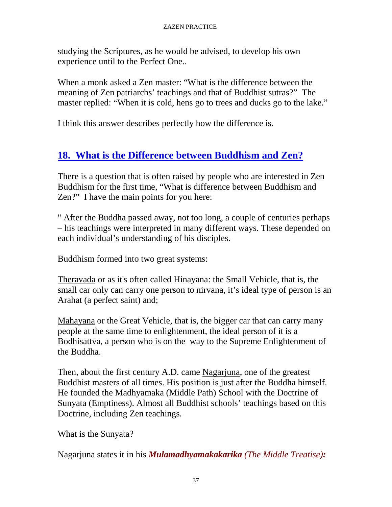studying the Scriptures, as he would be advised, to develop his own experience until to the Perfect One..

When a monk asked a Zen master: "What is the difference between the meaning of Zen patriarchs' teachings and that of Buddhist sutras?" The master replied: "When it is cold, hens go to trees and ducks go to the lake."

I think this answer describes perfectly how the difference is.

## **18. What is the Difference between Buddhism and Zen?**

There is a question that is often raised by people who are interested in Zen Buddhism for the first time, "What is difference between Buddhism and Zen?" I have the main points for you here:

" After the Buddha passed away, not too long, a couple of centuries perhaps – his teachings were interpreted in many different ways. These depended on each individual's understanding of his disciples.

Buddhism formed into two great systems:

Theravada or as it's often called Hinayana: the Small Vehicle, that is, the small car only can carry one person to nirvana, it's ideal type of person is an Arahat (a perfect saint) and;

Mahayana or the Great Vehicle, that is, the bigger car that can carry many people at the same time to enlightenment, the ideal person of it is a Bodhisattva, a person who is on the way to the Supreme Enlightenment of the Buddha.

Then, about the first century A.D. came Nagarjuna, one of the greatest Buddhist masters of all times. His position is just after the Buddha himself. He founded the Madhyamaka (Middle Path) School with the Doctrine of Sunyata (Emptiness). Almost all Buddhist schools' teachings based on this Doctrine, including Zen teachings.

What is the Sunyata?

Nagarjuna states it in his *Mulamadhyamakakarika (The Middle Treatise):*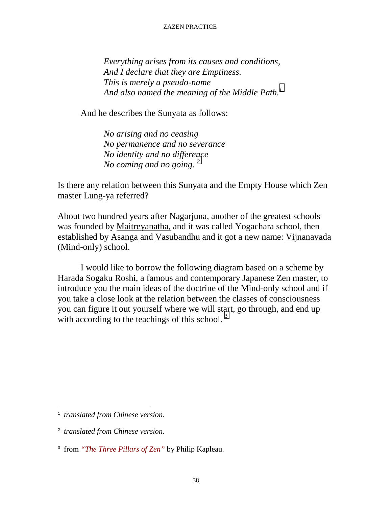*Everything arises from its causes and conditions, And I declare that they are Emptiness. This is merely a pseudo-name* And also named the meaning of the Middle Path.<sup>1</sup>

And he describes the Sunyata as follows:

*No arising and no ceasing No permanence and no severance No identity and no difference No coming and no going. 2*

Is there any relation between this Sunyata and the Empty House which Zen master Lung-ya referred?

About two hundred years after Nagarjuna, another of the greatest schools was founded by Maitreyanatha, and it was called Yogachara school, then established by Asanga and Vasubandhu and it got a new name: Vijnanavada (Mind-only) school.

I would like to borrow the following diagram based on a scheme by Harada Sogaku Roshi, a famous and contemporary Japanese Zen master, to introduce you the main ideas of the doctrine of the Mind-only school and if you take a close look at the relation between the classes of consciousness you can figure it out yourself where we will start, go through, and end up with according to the teachings of this school.  $3$ 

 $\overline{a}$ 

<sup>1</sup> *translated from Chinese version.*

<sup>2</sup> *translated from Chinese version.*

<sup>3</sup> from *"The Three Pillars of Zen"* by Philip Kapleau.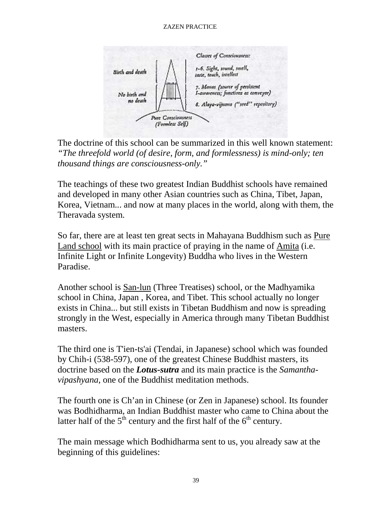

The doctrine of this school can be summarized in this well known statement: *"The threefold world (of desire, form, and formlessness) is mind-only; ten thousand things are consciousness-only."*

The teachings of these two greatest Indian Buddhist schools have remained and developed in many other Asian countries such as China, Tibet, Japan, Korea, Vietnam... and now at many places in the world, along with them, the Theravada system.

So far, there are at least ten great sects in Mahayana Buddhism such as Pure Land school with its main practice of praying in the name of Amita (i.e. Infinite Light or Infinite Longevity) Buddha who lives in the Western Paradise.

Another school is San-lun (Three Treatises) school, or the Madhyamika school in China, Japan , Korea, and Tibet. This school actually no longer exists in China... but still exists in Tibetan Buddhism and now is spreading strongly in the West, especially in America through many Tibetan Buddhist masters.

The third one is T'ien-ts'ai (Tendai, in Japanese) school which was founded by Chih-i (538-597), one of the greatest Chinese Buddhist masters, its doctrine based on the *Lotus-sutra* and its main practice is the *Samanthavipashyana*, one of the Buddhist meditation methods.

The fourth one is Ch'an in Chinese (or Zen in Japanese) school. Its founder was Bodhidharma, an Indian Buddhist master who came to China about the latter half of the  $5<sup>th</sup>$  century and the first half of the  $6<sup>th</sup>$  century.

The main message which Bodhidharma sent to us, you already saw at the beginning of this guidelines: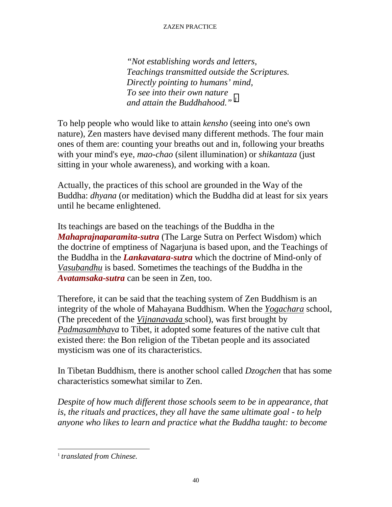*"Not establishing words and letters, Teachings transmitted outside the Scriptures. Directly pointing to humans' mind, To see into their own nature and attain the Buddhahood." 1*

To help people who would like to attain *kensho* (seeing into one's own nature), Zen masters have devised many different methods. The four main ones of them are: counting your breaths out and in, following your breaths with your mind's eye, *mao-chao* (silent illumination) or *shikantaza* (just sitting in your whole awareness), and working with a koan.

Actually, the practices of this school are grounded in the Way of the Buddha: *dhyana* (or meditation) which the Buddha did at least for six years until he became enlightened.

Its teachings are based on the teachings of the Buddha in the *Mahaprajnaparamita-sutra* (The Large Sutra on Perfect Wisdom) which the doctrine of emptiness of Nagarjuna is based upon, and the Teachings of the Buddha in the *Lankavatara-sutra* which the doctrine of Mind-only of *Vasubandhu* is based. Sometimes the teachings of the Buddha in the *Avatamsaka-sutra* can be seen in Zen, too.

Therefore, it can be said that the teaching system of Zen Buddhism is an integrity of the whole of Mahayana Buddhism. When the *Yogachara* school, (The precedent of the *Vijnanavada* school), was first brought by *Padmasambhava* to Tibet, it adopted some features of the native cult that existed there: the Bon religion of the Tibetan people and its associated mysticism was one of its characteristics.

In Tibetan Buddhism, there is another school called *Dzogchen* that has some characteristics somewhat similar to Zen.

*Despite of how much different those schools seem to be in appearance, that is, the rituals and practices, they all have the same ultimate goal - to help anyone who likes to learn and practice what the Buddha taught: to become*

 $\overline{a}$ 

<sup>1</sup> *translated from Chinese.*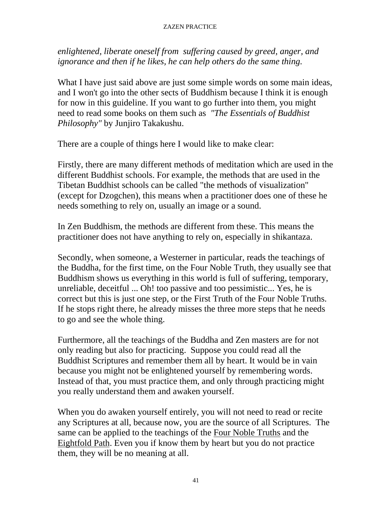*enlightened, liberate oneself from suffering caused by greed, anger, and ignorance and then if he likes, he can help others do the same thing.*

What I have just said above are just some simple words on some main ideas, and I won't go into the other sects of Buddhism because I think it is enough for now in this guideline. If you want to go further into them, you might need to read some books on them such as *"The Essentials of Buddhist Philosophy"* by Junjiro Takakushu.

There are a couple of things here I would like to make clear:

Firstly, there are many different methods of meditation which are used in the different Buddhist schools. For example, the methods that are used in the Tibetan Buddhist schools can be called "the methods of visualization" (except for Dzogchen), this means when a practitioner does one of these he needs something to rely on, usually an image or a sound.

In Zen Buddhism, the methods are different from these. This means the practitioner does not have anything to rely on, especially in shikantaza.

Secondly, when someone, a Westerner in particular, reads the teachings of the Buddha, for the first time, on the Four Noble Truth, they usually see that Buddhism shows us everything in this world is full of suffering, temporary, unreliable, deceitful ... Oh! too passive and too pessimistic... Yes, he is correct but this is just one step, or the First Truth of the Four Noble Truths. If he stops right there, he already misses the three more steps that he needs to go and see the whole thing.

Furthermore, all the teachings of the Buddha and Zen masters are for not only reading but also for practicing. Suppose you could read all the Buddhist Scriptures and remember them all by heart. It would be in vain because you might not be enlightened yourself by remembering words. Instead of that, you must practice them, and only through practicing might you really understand them and awaken yourself.

When you do awaken yourself entirely, you will not need to read or recite any Scriptures at all, because now, you are the source of all Scriptures. The same can be applied to the teachings of the Four Noble Truths and the Eightfold Path. Even you if know them by heart but you do not practice them, they will be no meaning at all.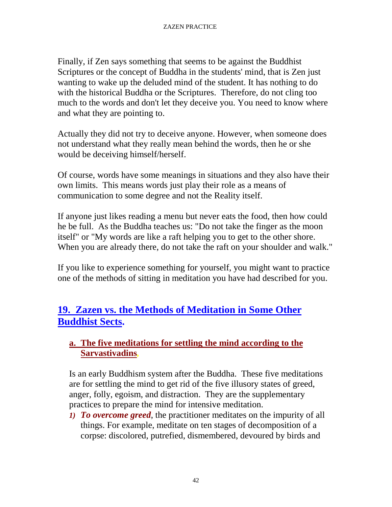Finally, if Zen says something that seems to be against the Buddhist Scriptures or the concept of Buddha in the students' mind, that is Zen just wanting to wake up the deluded mind of the student. It has nothing to do with the historical Buddha or the Scriptures. Therefore, do not cling too much to the words and don't let they deceive you. You need to know where and what they are pointing to.

Actually they did not try to deceive anyone. However, when someone does not understand what they really mean behind the words, then he or she would be deceiving himself/herself.

Of course, words have some meanings in situations and they also have their own limits. This means words just play their role as a means of communication to some degree and not the Reality itself.

If anyone just likes reading a menu but never eats the food, then how could he be full. As the Buddha teaches us: "Do not take the finger as the moon itself" or "My words are like a raft helping you to get to the other shore. When you are already there, do not take the raft on your shoulder and walk."

If you like to experience something for yourself, you might want to practice one of the methods of sitting in meditation you have had described for you.

## **19. Zazen vs. the Methods of Meditation in Some Other Buddhist Sects.**

## **a. The five meditations for settling the mind according to the Sarvastivadins***,*

Is an early Buddhism system after the Buddha. These five meditations are for settling the mind to get rid of the five illusory states of greed, anger, folly, egoism, and distraction. They are the supplementary practices to prepare the mind for intensive meditation.

*1) To overcome greed*, the practitioner meditates on the impurity of all things. For example, meditate on ten stages of decomposition of a corpse: discolored, putrefied, dismembered, devoured by birds and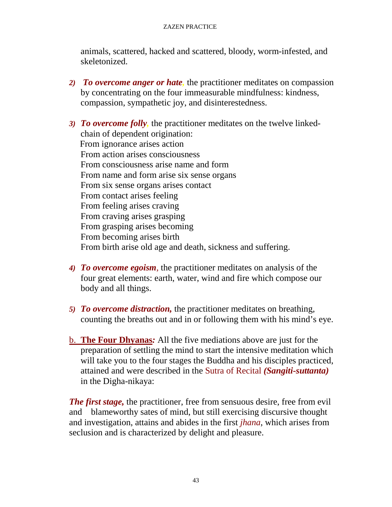animals, scattered, hacked and scattered, bloody, worm-infested, and skeletonized.

- *2) To overcome anger or hate,* the practitioner meditates on compassion by concentrating on the four immeasurable mindfulness: kindness, compassion, sympathetic joy, and disinterestedness.
- *3) To overcome folly,* the practitioner meditates on the twelve linkedchain of dependent origination: From ignorance arises action From action arises consciousness From consciousness arise name and form From name and form arise six sense organs From six sense organs arises contact From contact arises feeling From feeling arises craving From craving arises grasping From grasping arises becoming From becoming arises birth From birth arise old age and death, sickness and suffering.
- *4) To overcome egoism*, the practitioner meditates on analysis of the four great elements: earth, water, wind and fire which compose our body and all things.
- *5) To overcome distraction,* the practitioner meditates on breathing, counting the breaths out and in or following them with his mind's eye.
- b. **The Four Dhyanas***:* All the five mediations above are just for the preparation of settling the mind to start the intensive meditation which will take you to the four stages the Buddha and his disciples practiced, attained and were described in the Sutra of Recital *(Sangiti-suttanta)* in the Digha-nikaya:

*The first stage,* the practitioner, free from sensuous desire, free from evil and blameworthy sates of mind, but still exercising discursive thought and investigation, attains and abides in the first *jhana*, which arises from seclusion and is characterized by delight and pleasure.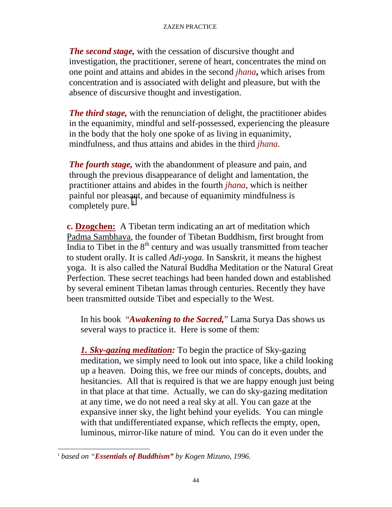*The second stage,* with the cessation of discursive thought and investigation, the practitioner, serene of heart, concentrates the mind on one point and attains and abides in the second *jhana***,** which arises from concentration and is associated with delight and pleasure, but with the absence of discursive thought and investigation.

*The third stage,* with the renunciation of delight, the practitioner abides in the equanimity, mindful and self-possessed, experiencing the pleasure in the body that the holy one spoke of as living in equanimity, mindfulness, and thus attains and abides in the third *jhana.*

*The fourth stage,* with the abandonment of pleasure and pain, and through the previous disappearance of delight and lamentation, the practitioner attains and abides in the fourth *jhana*, which is neither painful nor pleasant, and because of equanimity mindfulness is completely pure.  $\frac{1}{1}$ 

**c. Dzogchen:** A Tibetan term indicating an art of meditation which Padma Sambhava, the founder of Tibetan Buddhism, first brought from India to Tibet in the  $8<sup>th</sup>$  century and was usually transmitted from teacher to student orally. It is called *Adi-yoga.* In Sanskrit, it means the highest yoga. It is also called the Natural Buddha Meditation or the Natural Great Perfection. These secret teachings had been handed down and established by several eminent Tibetan lamas through centuries. Recently they have been transmitted outside Tibet and especially to the West.

In his book "*Awakening to the Sacred,*" Lama Surya Das shows us several ways to practice it. Here is some of them:

*1. Sky-gazing meditation:* To begin the practice of Sky-gazing meditation, we simply need to look out into space, like a child looking up a heaven. Doing this, we free our minds of concepts, doubts, and hesitancies. All that is required is that we are happy enough just being in that place at that time. Actually, we can do sky-gazing meditation at any time, we do not need a real sky at all. You can gaze at the expansive inner sky, the light behind your eyelids. You can mingle with that undifferentiated expanse, which reflects the empty, open, luminous, mirror-like nature of mind. You can do it even under the

 $\overline{a}$ 

<sup>1</sup> *based on "Essentials of Buddhism" by Kogen Mizuno, 1996.*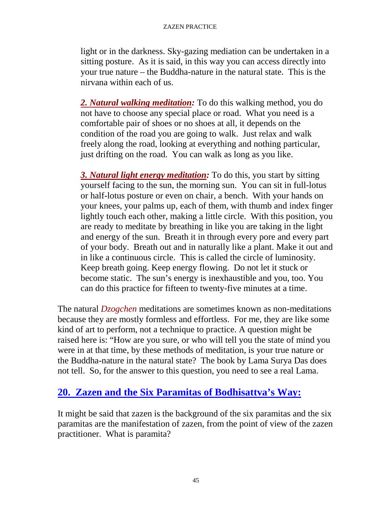light or in the darkness. Sky-gazing mediation can be undertaken in a sitting posture. As it is said, in this way you can access directly into your true nature – the Buddha-nature in the natural state. This is the nirvana within each of us.

*2. Natural walking meditation:* To do this walking method, you do not have to choose any special place or road. What you need is a comfortable pair of shoes or no shoes at all, it depends on the condition of the road you are going to walk. Just relax and walk freely along the road, looking at everything and nothing particular, just drifting on the road. You can walk as long as you like.

*3. Natural light energy meditation:* To do this, you start by sitting yourself facing to the sun, the morning sun. You can sit in full-lotus or half-lotus posture or even on chair, a bench. With your hands on your knees, your palms up, each of them, with thumb and index finger lightly touch each other, making a little circle. With this position, you are ready to meditate by breathing in like you are taking in the light and energy of the sun. Breath it in through every pore and every part of your body. Breath out and in naturally like a plant. Make it out and in like a continuous circle. This is called the circle of luminosity. Keep breath going. Keep energy flowing. Do not let it stuck or become static. The sun's energy is inexhaustible and you, too. You can do this practice for fifteen to twenty-five minutes at a time.

The natural *Dzogchen* meditations are sometimes known as non-meditations because they are mostly formless and effortless. For me, they are like some kind of art to perform, not a technique to practice. A question might be raised here is: "How are you sure, or who will tell you the state of mind you were in at that time, by these methods of meditation, is your true nature or the Buddha-nature in the natural state? The book by Lama Surya Das does not tell. So, for the answer to this question, you need to see a real Lama.

## **20. Zazen and the Six Paramitas of Bodhisattva's Way:**

It might be said that zazen is the background of the six paramitas and the six paramitas are the manifestation of zazen, from the point of view of the zazen practitioner. What is paramita?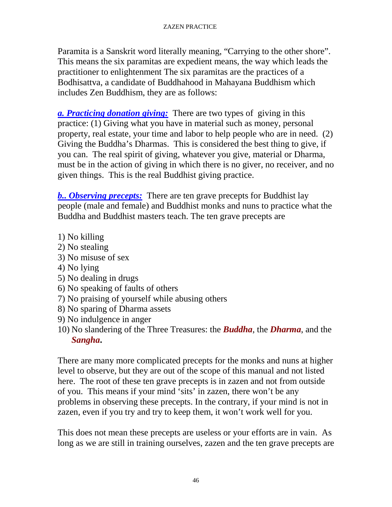Paramita is a Sanskrit word literally meaning, "Carrying to the other shore". This means the six paramitas are expedient means, the way which leads the practitioner to enlightenment The six paramitas are the practices of a Bodhisattva, a candidate of Buddhahood in Mahayana Buddhism which includes Zen Buddhism, they are as follows:

*a. Practicing donation giving:*There are two types of giving in this practice: (1) Giving what you have in material such as money, personal property, real estate, your time and labor to help people who are in need. (2) Giving the Buddha's Dharmas. This is considered the best thing to give, if you can. The real spirit of giving, whatever you give, material or Dharma, must be in the action of giving in which there is no giver, no receiver, and no given things. This is the real Buddhist giving practice.

*b.. Observing precepts:* There are ten grave precepts for Buddhist lay people (male and female) and Buddhist monks and nuns to practice what the Buddha and Buddhist masters teach. The ten grave precepts are

- 1) No killing
- 2) No stealing
- 3) No misuse of sex
- 4) No lying
- 5) No dealing in drugs
- 6) No speaking of faults of others
- 7) No praising of yourself while abusing others
- 8) No sparing of Dharma assets
- 9) No indulgence in anger
- 10) No slandering of the Three Treasures: the *Buddha*, the *Dharma*, and the *Sangha***.**

There are many more complicated precepts for the monks and nuns at higher level to observe, but they are out of the scope of this manual and not listed here. The root of these ten grave precepts is in zazen and not from outside of you. This means if your mind 'sits' in zazen, there won't be any problems in observing these precepts. In the contrary, if your mind is not in zazen, even if you try and try to keep them, it won't work well for you.

This does not mean these precepts are useless or your efforts are in vain. As long as we are still in training ourselves, zazen and the ten grave precepts are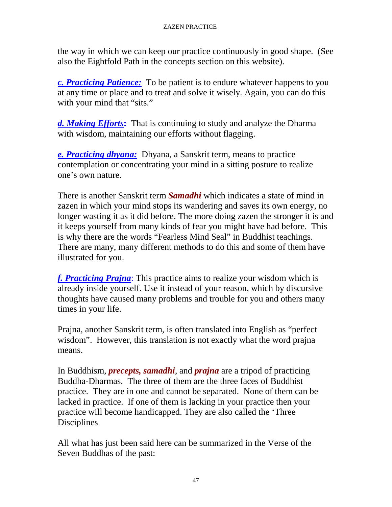the way in which we can keep our practice continuously in good shape. (See also the Eightfold Path in the concepts section on this website).

*c. Practicing Patience:* To be patient is to endure whatever happens to you at any time or place and to treat and solve it wisely. Again, you can do this with your mind that "sits."

*d. Making Efforts***:** That is continuing to study and analyze the Dharma with wisdom, maintaining our efforts without flagging.

*e. Practicing dhyana:*Dhyana, a Sanskrit term, means to practice contemplation or concentrating your mind in a sitting posture to realize one's own nature.

There is another Sanskrit term *Samadhi* which indicates a state of mind in zazen in which your mind stops its wandering and saves its own energy, no longer wasting it as it did before. The more doing zazen the stronger it is and it keeps yourself from many kinds of fear you might have had before. This is why there are the words "Fearless Mind Seal" in Buddhist teachings. There are many, many different methods to do this and some of them have illustrated for you.

*f. Practicing Prajna*: This practice aims to realize your wisdom which is already inside yourself. Use it instead of your reason, which by discursive thoughts have caused many problems and trouble for you and others many times in your life.

Prajna, another Sanskrit term, is often translated into English as "perfect wisdom". However, this translation is not exactly what the word prajna means.

In Buddhism, *precepts, samadhi*, and *prajna* are a tripod of practicing Buddha-Dharmas. The three of them are the three faces of Buddhist practice. They are in one and cannot be separated. None of them can be lacked in practice. If one of them is lacking in your practice then your practice will become handicapped. They are also called the 'Three **Disciplines** 

All what has just been said here can be summarized in the Verse of the Seven Buddhas of the past: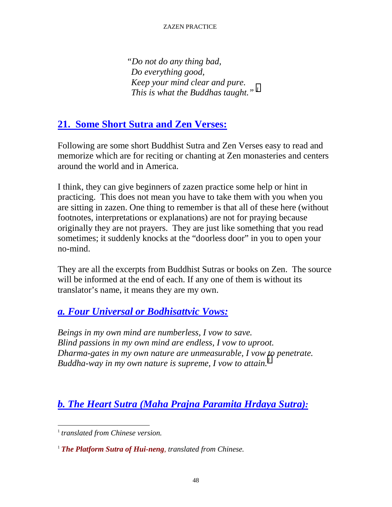*"Do not do any thing bad, Do everything good, Keep your mind clear and pure. This is what the Buddhas taught." 1*

## **21. Some Short Sutra and Zen Verses:**

Following are some short Buddhist Sutra and Zen Verses easy to read and memorize which are for reciting or chanting at Zen monasteries and centers around the world and in America.

I think, they can give beginners of zazen practice some help or hint in practicing. This does not mean you have to take them with you when you are sitting in zazen. One thing to remember is that all of these here (without footnotes, interpretations or explanations) are not for praying because originally they are not prayers. They are just like something that you read sometimes; it suddenly knocks at the "doorless door" in you to open your no-mind.

They are all the excerpts from Buddhist Sutras or books on Zen. The source will be informed at the end of each. If any one of them is without its translator's name, it means they are my own.

## *a. Four Universal or Bodhisattvic Vows:*

*Beings in my own mind are numberless, I vow to save. Blind passions in my own mind are endless, I vow to uproot. Dharma-gates in my own nature are unmeasurable, I vow to penetrate. Buddha-way in my own nature is supreme, I vow to attain.*<sup>1</sup>

*b. The Heart Sutra (Maha Prajna Paramita Hrdaya Sutra):*

 $\overline{a}$ <sup>1</sup> *translated from Chinese version.*

<sup>1</sup> *The Platform Sutra of Hui-neng, translated from Chinese.*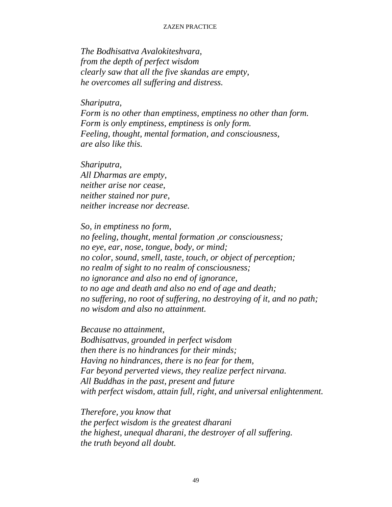*The Bodhisattva Avalokiteshvara, from the depth of perfect wisdom clearly saw that all the five skandas are empty, he overcomes all suffering and distress.*

### *Shariputra,*

*Form is no other than emptiness, emptiness no other than form. Form is only emptiness, emptiness is only form. Feeling, thought, mental formation, and consciousness, are also like this.*

*Shariputra, All Dharmas are empty, neither arise nor cease, neither stained nor pure, neither increase nor decrease.*

*So, in emptiness no form, no feeling, thought, mental formation ,or consciousness; no eye, ear, nose, tongue, body, or mind; no color, sound, smell, taste, touch, or object of perception; no realm of sight to no realm of consciousness; no ignorance and also no end of ignorance, to no age and death and also no end of age and death; no suffering, no root of suffering, no destroying of it, and no path; no wisdom and also no attainment.*

### *Because no attainment,*

*Bodhisattvas, grounded in perfect wisdom then there is no hindrances for their minds; Having no hindrances, there is no fear for them, Far beyond perverted views, they realize perfect nirvana. All Buddhas in the past, present and future with perfect wisdom, attain full, right, and universal enlightenment.*

*Therefore, you know that the perfect wisdom is the greatest dharani the highest, unequal dharani, the destroyer of all suffering. the truth beyond all doubt.*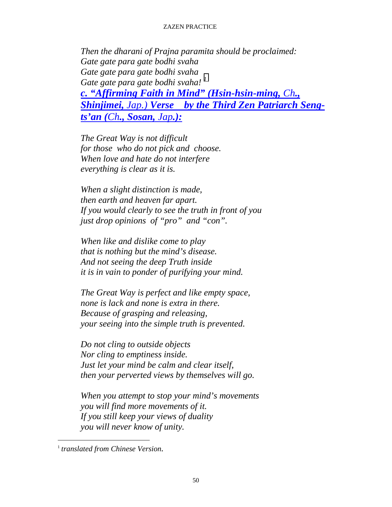*Then the dharani of Prajna paramita should be proclaimed: Gate gate para gate bodhi svaha Gate gate para gate bodhi svaha Gate gate para gate bodhi svaha! 1 c. "Affirming Faith in Mind" (Hsin-hsin-ming, Ch., Shinjimei, Jap.) Verse by the Third Zen Patriarch Sengts'an (Ch., Sosan, Jap.):*

*The Great Way is not difficult for those who do not pick and choose. When love and hate do not interfere everything is clear as it is.*

*When a slight distinction is made, then earth and heaven far apart. If you would clearly to see the truth in front of you just drop opinions of "pro" and "con".*

*When like and dislike come to play that is nothing but the mind's disease. And not seeing the deep Truth inside it is in vain to ponder of purifying your mind.*

*The Great Way is perfect and like empty space, none is lack and none is extra in there. Because of grasping and releasing, your seeing into the simple truth is prevented.*

*Do not cling to outside objects Nor cling to emptiness inside. Just let your mind be calm and clear itself, then your perverted views by themselves will go.*

*When you attempt to stop your mind's movements you will find more movements of it. If you still keep your views of duality you will never know of unity.*

l

<sup>1</sup> *translated from Chinese Version.*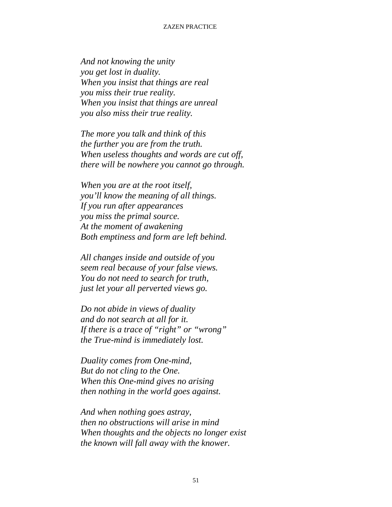*And not knowing the unity you get lost in duality. When you insist that things are real you miss their true reality. When you insist that things are unreal you also miss their true reality.*

*The more you talk and think of this the further you are from the truth. When useless thoughts and words are cut off, there will be nowhere you cannot go through.*

*When you are at the root itself, you'll know the meaning of all things. If you run after appearances you miss the primal source. At the moment of awakening Both emptiness and form are left behind.*

*All changes inside and outside of you seem real because of your false views. You do not need to search for truth, just let your all perverted views go.*

*Do not abide in views of duality and do not search at all for it. If there is a trace of "right" or "wrong" the True-mind is immediately lost.*

*Duality comes from One-mind, But do not cling to the One. When this One-mind gives no arising then nothing in the world goes against.*

*And when nothing goes astray, then no obstructions will arise in mind When thoughts and the objects no longer exist the known will fall away with the knower.*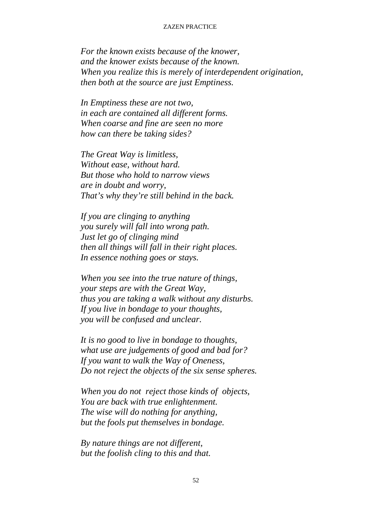*For the known exists because of the knower, and the knower exists because of the known. When you realize this is merely of interdependent origination, then both at the source are just Emptiness.*

*In Emptiness these are not two, in each are contained all different forms. When coarse and fine are seen no more how can there be taking sides?*

*The Great Way is limitless, Without ease, without hard. But those who hold to narrow views are in doubt and worry, That's why they're still behind in the back.*

*If you are clinging to anything you surely will fall into wrong path. Just let go of clinging mind then all things will fall in their right places. In essence nothing goes or stays.*

*When you see into the true nature of things, your steps are with the Great Way, thus you are taking a walk without any disturbs. If you live in bondage to your thoughts, you will be confused and unclear.*

*It is no good to live in bondage to thoughts, what use are judgements of good and bad for? If you want to walk the Way of Oneness, Do not reject the objects of the six sense spheres.*

*When you do not reject those kinds of objects, You are back with true enlightenment. The wise will do nothing for anything, but the fools put themselves in bondage.*

*By nature things are not different, but the foolish cling to this and that.*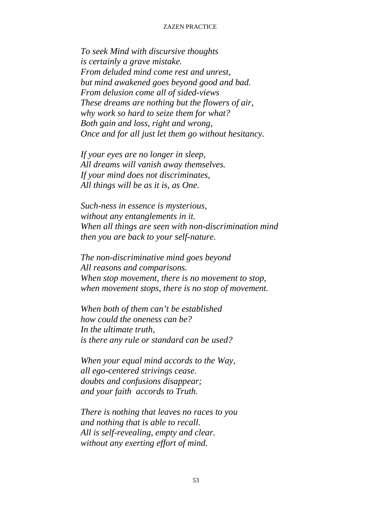*To seek Mind with discursive thoughts is certainly a grave mistake. From deluded mind come rest and unrest, but mind awakened goes beyond good and bad. From delusion come all of sided-views These dreams are nothing but the flowers of air, why work so hard to seize them for what? Both gain and loss, right and wrong, Once and for all just let them go without hesitancy.*

*If your eyes are no longer in sleep, All dreams will vanish away themselves. If your mind does not discriminates, All things will be as it is, as One.*

*Such-ness in essence is mysterious, without any entanglements in it. When all things are seen with non-discrimination mind then you are back to your self-nature.*

*The non-discriminative mind goes beyond All reasons and comparisons. When stop movement, there is no movement to stop, when movement stops, there is no stop of movement.*

*When both of them can't be established how could the oneness can be? In the ultimate truth, is there any rule or standard can be used?*

*When your equal mind accords to the Way, all ego-centered strivings cease. doubts and confusions disappear; and your faith accords to Truth.*

*There is nothing that leaves no races to you and nothing that is able to recall. All is self-revealing, empty and clear. without any exerting effort of mind.*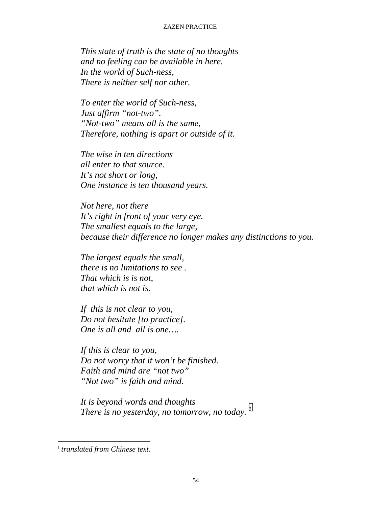*This state of truth is the state of no thoughts and no feeling can be available in here. In the world of Such-ness, There is neither self nor other.*

*To enter the world of Such-ness, Just affirm "not-two". "Not-two" means all is the same, Therefore, nothing is apart or outside of it.*

*The wise in ten directions all enter to that source. It's not short or long, One instance is ten thousand years.*

*Not here, not there It's right in front of your very eye. The smallest equals to the large, because their difference no longer makes any distinctions to you.*

*The largest equals the small, there is no limitations to see . That which is is not, that which is not is.*

*If this is not clear to you, Do not hesitate [to practice]. One is all and all is one….*

*If this is clear to you, Do not worry that it won't be finished. Faith and mind are "not two" "Not two" is faith and mind.*

*It is beyond words and thoughts There is no yesterday, no tomorrow, no today. 1*

l

<sup>1</sup> *translated from Chinese text.*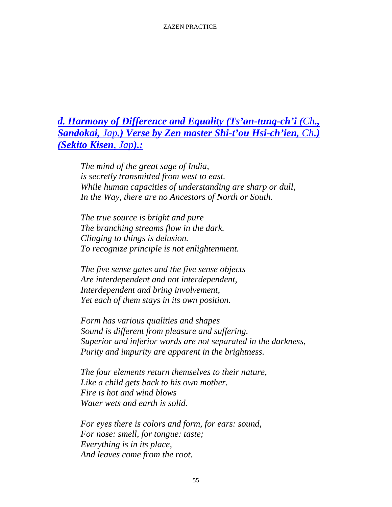*d. Harmony of Difference and Equality (Ts'an-tung-ch'i (Ch., Sandokai, Jap.) Verse by Zen master Shi-t'ou Hsi-ch'ien, Ch.) (Sekito Kisen, Jap).:*

*The mind of the great sage of India, is secretly transmitted from west to east. While human capacities of understanding are sharp or dull, In the Way, there are no Ancestors of North or South.*

*The true source is bright and pure The branching streams flow in the dark. Clinging to things is delusion. To recognize principle is not enlightenment.*

*The five sense gates and the five sense objects Are interdependent and not interdependent, Interdependent and bring involvement, Yet each of them stays in its own position.*

*Form has various qualities and shapes Sound is different from pleasure and suffering. Superior and inferior words are not separated in the darkness, Purity and impurity are apparent in the brightness.*

*The four elements return themselves to their nature, Like a child gets back to his own mother. Fire is hot and wind blows Water wets and earth is solid.*

*For eyes there is colors and form, for ears: sound, For nose: smell, for tongue: taste; Everything is in its place, And leaves come from the root.*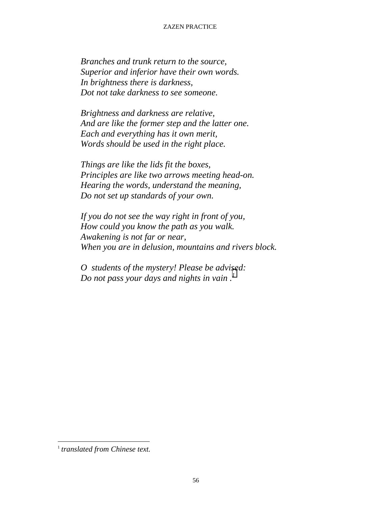*Branches and trunk return to the source, Superior and inferior have their own words. In brightness there is darkness, Dot not take darkness to see someone.*

*Brightness and darkness are relative, And are like the former step and the latter one. Each and everything has it own merit, Words should be used in the right place.*

*Things are like the lids fit the boxes, Principles are like two arrows meeting head-on. Hearing the words, understand the meaning, Do not set up standards of your own.*

*If you do not see the way right in front of you, How could you know the path as you walk. Awakening is not far or near, When you are in delusion, mountains and rivers block.*

*O students of the mystery! Please be advised: Do not pass your days and nights in vain .1*

l

<sup>1</sup> *translated from Chinese text.*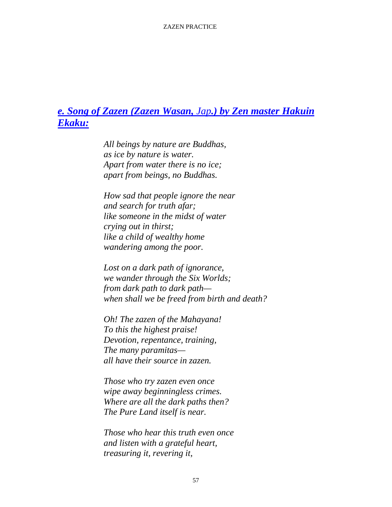## *e. Song of Zazen (Zazen Wasan, Jap.) by Zen master Hakuin Ekaku:*

*All beings by nature are Buddhas, as ice by nature is water. Apart from water there is no ice; apart from beings, no Buddhas.*

*How sad that people ignore the near and search for truth afar; like someone in the midst of water crying out in thirst; like a child of wealthy home wandering among the poor.*

*Lost on a dark path of ignorance, we wander through the Six Worlds; from dark path to dark path when shall we be freed from birth and death?*

*Oh! The zazen of the Mahayana! To this the highest praise! Devotion, repentance, training, The many paramitas all have their source in zazen.*

*Those who try zazen even once wipe away beginningless crimes. Where are all the dark paths then? The Pure Land itself is near.*

*Those who hear this truth even once and listen with a grateful heart, treasuring it, revering it,*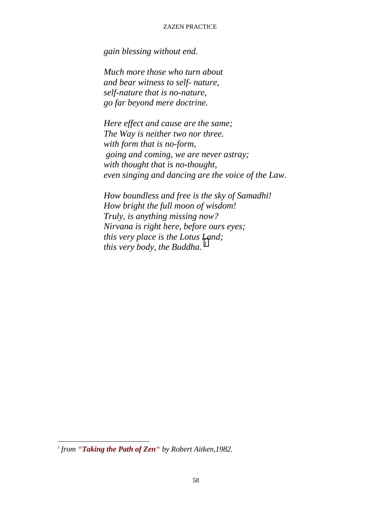*gain blessing without end.*

*Much more those who turn about and bear witness to self- nature, self-nature that is no-nature, go far beyond mere doctrine.*

*Here effect and cause are the same; The Way is neither two nor three. with form that is no-form, going and coming, we are never astray; with thought that is no-thought, even singing and dancing are the voice of the Law.*

*How boundless and free is the sky of Samadhi! How bright the full moon of wisdom! Truly, is anything missing now? Nirvana is right here, before ours eyes; this very place is the Lotus Land; this very body, the Buddha. 1*

l

<sup>1</sup> *from "Taking the Path of Zen" by Robert Aitken,1982.*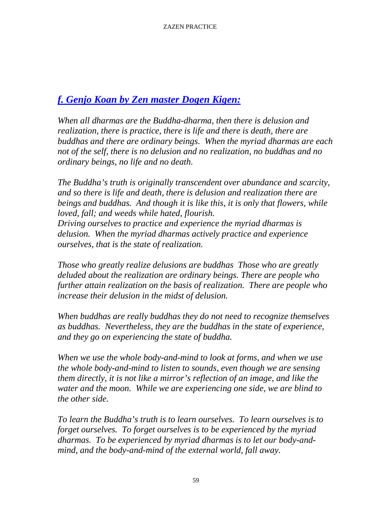## *f. Genjo Koan by Zen master Dogen Kigen:*

*When all dharmas are the Buddha-dharma, then there is delusion and realization, there is practice, there is life and there is death, there are buddhas and there are ordinary beings. When the myriad dharmas are each not of the self, there is no delusion and no realization, no buddhas and no ordinary beings, no life and no death.*

*The Buddha's truth is originally transcendent over abundance and scarcity, and so there is life and death, there is delusion and realization there are beings and buddhas. And though it is like this, it is only that flowers, while loved, fall; and weeds while hated, flourish.*

*Driving ourselves to practice and experience the myriad dharmas is delusion. When the myriad dharmas actively practice and experience ourselves, that is the state of realization.*

*Those who greatly realize delusions are buddhas Those who are greatly deluded about the realization are ordinary beings. There are people who further attain realization on the basis of realization. There are people who increase their delusion in the midst of delusion.*

*When buddhas are really buddhas they do not need to recognize themselves as buddhas. Nevertheless, they are the buddhas in the state of experience, and they go on experiencing the state of buddha.*

*When we use the whole body-and-mind to look at forms, and when we use the whole body-and-mind to listen to sounds, even though we are sensing them directly, it is not like a mirror's reflection of an image, and like the water and the moon. While we are experiencing one side, we are blind to the other side.*

*To learn the Buddha's truth is to learn ourselves. To learn ourselves is to forget ourselves. To forget ourselves is to be experienced by the myriad dharmas. To be experienced by myriad dharmas is to let our body-andmind, and the body-and-mind of the external world, fall away.*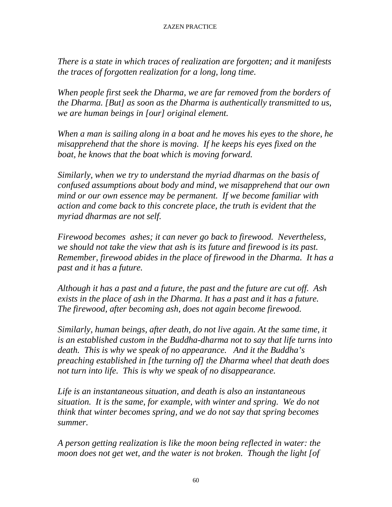*There is a state in which traces of realization are forgotten; and it manifests the traces of forgotten realization for a long, long time.*

*When people first seek the Dharma, we are far removed from the borders of the Dharma. [But] as soon as the Dharma is authentically transmitted to us, we are human beings in [our] original element.*

*When a man is sailing along in a boat and he moves his eyes to the shore, he misapprehend that the shore is moving. If he keeps his eyes fixed on the boat, he knows that the boat which is moving forward.*

*Similarly, when we try to understand the myriad dharmas on the basis of confused assumptions about body and mind, we misapprehend that our own mind or our own essence may be permanent. If we become familiar with action and come back to this concrete place, the truth is evident that the myriad dharmas are not self.*

*Firewood becomes ashes; it can never go back to firewood. Nevertheless, we should not take the view that ash is its future and firewood is its past. Remember, firewood abides in the place of firewood in the Dharma. It has a past and it has a future.*

*Although it has a past and a future, the past and the future are cut off. Ash exists in the place of ash in the Dharma. It has a past and it has a future. The firewood, after becoming ash, does not again become firewood.*

*Similarly, human beings, after death, do not live again. At the same time, it is an established custom in the Buddha-dharma not to say that life turns into death. This is why we speak of no appearance. And it the Buddha's preaching established in [the turning of] the Dharma wheel that death does not turn into life. This is why we speak of no disappearance.*

*Life is an instantaneous situation, and death is also an instantaneous situation. It is the same, for example, with winter and spring. We do not think that winter becomes spring, and we do not say that spring becomes summer.*

*A person getting realization is like the moon being reflected in water: the moon does not get wet, and the water is not broken. Though the light [of*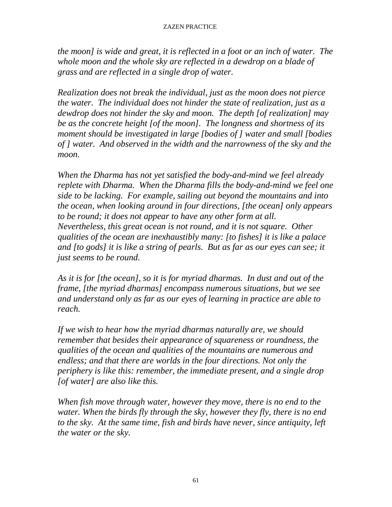*the moon] is wide and great, it is reflected in a foot or an inch of water. The whole moon and the whole sky are reflected in a dewdrop on a blade of grass and are reflected in a single drop of water.*

*Realization does not break the individual, just as the moon does not pierce the water. The individual does not hinder the state of realization, just as a dewdrop does not hinder the sky and moon. The depth [of realization] may be as the concrete height [of the moon]. The longness and shortness of its moment should be investigated in large [bodies of ] water and small [bodies of ] water. And observed in the width and the narrowness of the sky and the moon.*

*When the Dharma has not yet satisfied the body-and-mind we feel already replete with Dharma. When the Dharma fills the body-and-mind we feel one side to be lacking. For example, sailing out beyond the mountains and into the ocean, when looking around in four directions, [the ocean] only appears to be round; it does not appear to have any other form at all. Nevertheless, this great ocean is not round, and it is not square. Other qualities of the ocean are inexhaustibly many: [to fishes] it is like a palace and [to gods] it is like a string of pearls. But as far as our eyes can see; it just seems to be round.*

*As it is for [the ocean], so it is for myriad dharmas. In dust and out of the frame, [the myriad dharmas] encompass numerous situations, but we see and understand only as far as our eyes of learning in practice are able to reach.*

*If we wish to hear how the myriad dharmas naturally are, we should remember that besides their appearance of squareness or roundness, the qualities of the ocean and qualities of the mountains are numerous and endless; and that there are worlds in the four directions. Not only the periphery is like this: remember, the immediate present, and a single drop [of water] are also like this.*

*When fish move through water, however they move, there is no end to the water. When the birds fly through the sky, however they fly, there is no end to the sky. At the same time, fish and birds have never, since antiquity, left the water or the sky.*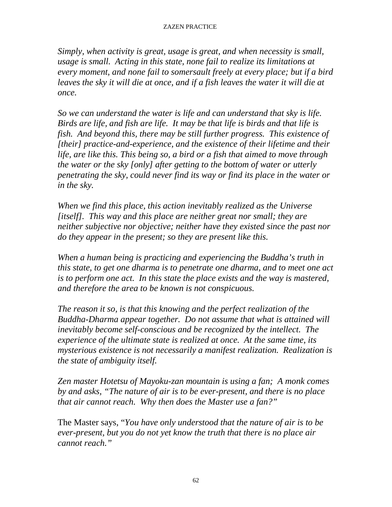*Simply, when activity is great, usage is great, and when necessity is small, usage is small. Acting in this state, none fail to realize its limitations at every moment, and none fail to somersault freely at every place; but if a bird leaves the sky it will die at once, and if a fish leaves the water it will die at once.*

*So we can understand the water is life and can understand that sky is life. Birds are life, and fish are life. It may be that life is birds and that life is fish. And beyond this, there may be still further progress. This existence of [their] practice-and-experience, and the existence of their lifetime and their life, are like this. This being so, a bird or a fish that aimed to move through the water or the sky [only] after getting to the bottom of water or utterly penetrating the sky, could never find its way or find its place in the water or in the sky.*

*When we find this place, this action inevitably realized as the Universe [itself]. This way and this place are neither great nor small; they are neither subjective nor objective; neither have they existed since the past nor do they appear in the present; so they are present like this.*

*When a human being is practicing and experiencing the Buddha's truth in this state, to get one dharma is to penetrate one dharma, and to meet one act is to perform one act. In this state the place exists and the way is mastered, and therefore the area to be known is not conspicuous.*

*The reason it so, is that this knowing and the perfect realization of the Buddha-Dharma appear together. Do not assume that what is attained will inevitably become self-conscious and be recognized by the intellect. The experience of the ultimate state is realized at once. At the same time, its mysterious existence is not necessarily a manifest realization. Realization is the state of ambiguity itself.*

*Zen master Hotetsu of Mayoku-zan mountain is using a fan; A monk comes by and asks, "The nature of air is to be ever-present, and there is no place that air cannot reach. Why then does the Master use a fan?"*

The Master says*,* "*You have only understood that the nature of air is to be ever-present, but you do not yet know the truth that there is no place air cannot reach."*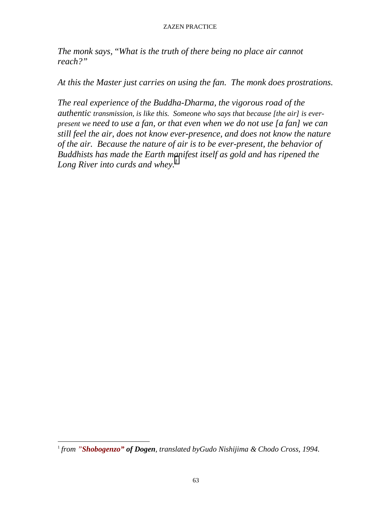*The monk says,* "*What is the truth of there being no place air cannot reach?"*

*At this the Master just carries on using the fan. The monk does prostrations.*

*The real experience of the Buddha-Dharma, the vigorous road of the authentic transmission, is like this. Someone who says that because [the air] is everpresent we need to use a fan, or that even when we do not use [a fan] we can still feel the air, does not know ever-presence, and does not know the nature of the air. Because the nature of air is to be ever-present, the behavior of Buddhists has made the Earth manifest itself as gold and has ripened the Long River into curds and whey.*<sup>1</sup>

l

<sup>1</sup> *from "Shobogenzo" of Dogen, translated byGudo Nishijima & Chodo Cross, 1994.*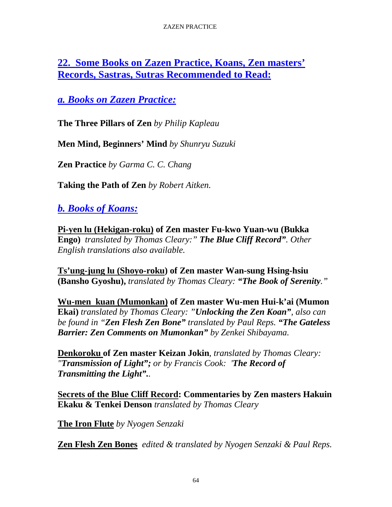**22. Some Books on Zazen Practice, Koans, Zen masters' Records, Sastras, Sutras Recommended to Read:**

*a. Books on Zazen Practice:*

**The Three Pillars of Zen** *by Philip Kapleau*

**Men Mind, Beginners' Mind** *by Shunryu Suzuki*

**Zen Practice** *by Garma C. C. Chang*

**Taking the Path of Zen** *by Robert Aitken.*

*b. Books of Koans:*

**Pi-yen lu (Hekigan-roku) of Zen master Fu-kwo Yuan-wu (Bukka Engo)** *translated by Thomas Cleary:" The Blue Cliff Record". Other English translations also available.*

**Ts'ung-jung lu (Shoyo-roku) of Zen master Wan-sung Hsing-hsiu (Bansho Gyoshu),** *translated by Thomas Cleary: "The Book of Serenity."*

**Wu-men kuan (Mumonkan) of Zen master Wu-men Hui-k'ai (Mumon Ekai)** *translated by Thomas Cleary: "Unlocking the Zen Koan", also can be found in "Zen Flesh Zen Bone" translated by Paul Reps. "The Gateless Barrier: Zen Comments on Mumonkan" by Zenkei Shibayama.*

**Denkoroku of Zen master Keizan Jokin***, translated by Thomas Cleary: "Transmission of Light"; or by Francis Cook: 'The Record of Transmitting the Light"..*

**Secrets of the Blue Cliff Record: Commentaries by Zen masters Hakuin Ekaku & Tenkei Denson** *translated by Thomas Cleary*

**The Iron Flute** *by Nyogen Senzaki*

**Zen Flesh Zen Bones** *edited & translated by Nyogen Senzaki & Paul Reps.*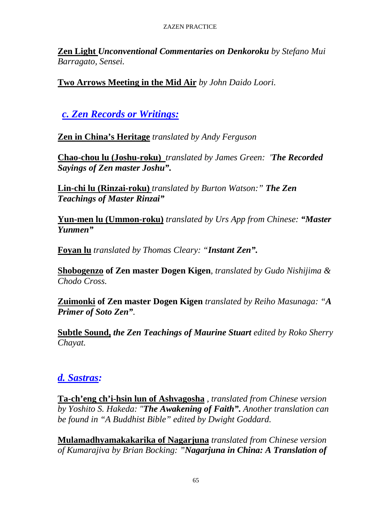**Zen Light** *Unconventional Commentaries on Denkoroku by Stefano Mui Barragato, Sensei.*

**Two Arrows Meeting in the Mid Air** *by John Daido Loori.*

*c. Zen Records or Writings:*

**Zen in China's Heritage** *translated by Andy Ferguson*

**Chao-chou lu (Joshu-roku)** *translated by James Green: 'The Recorded Sayings of Zen master Joshu".*

**Lin-chi lu (Rinzai-roku)** *translated by Burton Watson:" The Zen Teachings of Master Rinzai"*

**Yun-men lu (Ummon-roku)** *translated by Urs App from Chinese: "Master Yunmen"*

**Foyan lu** *translated by Thomas Cleary: "Instant Zen".*

**Shobogenzo of Zen master Dogen Kigen***, translated by Gudo Nishijima & Chodo Cross.*

**Zuimonki of Zen master Dogen Kigen** *translated by Reiho Masunaga: "A Primer of Soto Zen".*

**Subtle Sound,** *the Zen Teachings of Maurine Stuart edited by Roko Sherry Chayat.*

## *d. Sastras:*

**Ta-ch'eng ch'i-hsin lun of Ashvagosha** *, translated from Chinese version by Yoshito S. Hakeda: "The Awakening of Faith". Another translation can be found in "A Buddhist Bible" edited by Dwight Goddard.*

**Mulamadhyamakakarika of Nagarjuna** *translated from Chinese version of Kumarajiva by Brian Bocking: "Nagarjuna in China: A Translation of*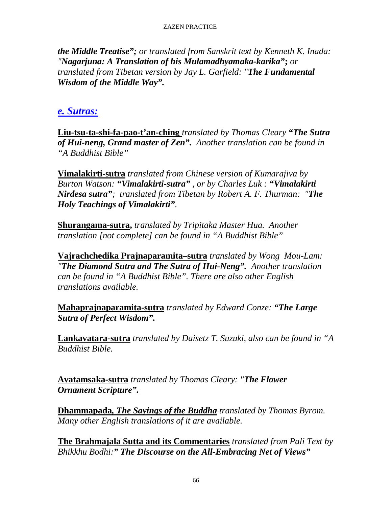*the Middle Treatise"; or translated from Sanskrit text by Kenneth K. Inada: "Nagarjuna: A Translation of his Mulamadhyamaka-karika"***;** *or translated from Tibetan version by Jay L. Garfield: "The Fundamental Wisdom of the Middle Way".*

## *e. Sutras:*

**Liu-tsu-ta-shi-fa-pao-t'an-ching** *translated by Thomas Cleary "The Sutra of Hui-neng, Grand master of Zen". Another translation can be found in "A Buddhist Bible"*

**Vimalakirti-sutra** *translated from Chinese version of Kumarajiva by Burton Watson: "Vimalakirti-sutra" , or by Charles Luk : "Vimalakirti Nirdesa sutra"; translated from Tibetan by Robert A. F. Thurman: "The Holy Teachings of Vimalakirti".*

**Shurangama-sutra,** *translated by Tripitaka Master Hua. Another translation [not complete] can be found in "A Buddhist Bible"*

**Vajrachchedika Prajnaparamita–sutra** *translated by Wong Mou-Lam: "The Diamond Sutra and The Sutra of Hui-Neng". Another translation can be found in "A Buddhist Bible". There are also other English translations available.*

**Mahaprajnaparamita-sutra** *translated by Edward Conze: "The Large Sutra of Perfect Wisdom".*

**Lankavatara-sutra** *translated by Daisetz T. Suzuki, also can be found in "A Buddhist Bible.*

**Avatamsaka-sutra** *translated by Thomas Cleary: "The Flower Ornament Scripture".*

**Dhammapada***, The Sayings of the Buddha translated by Thomas Byrom. Many other English translations of it are available.*

**The Brahmajala Sutta and its Commentaries** *translated from Pali Text by Bhikkhu Bodhi:" The Discourse on the All-Embracing Net of Views"*